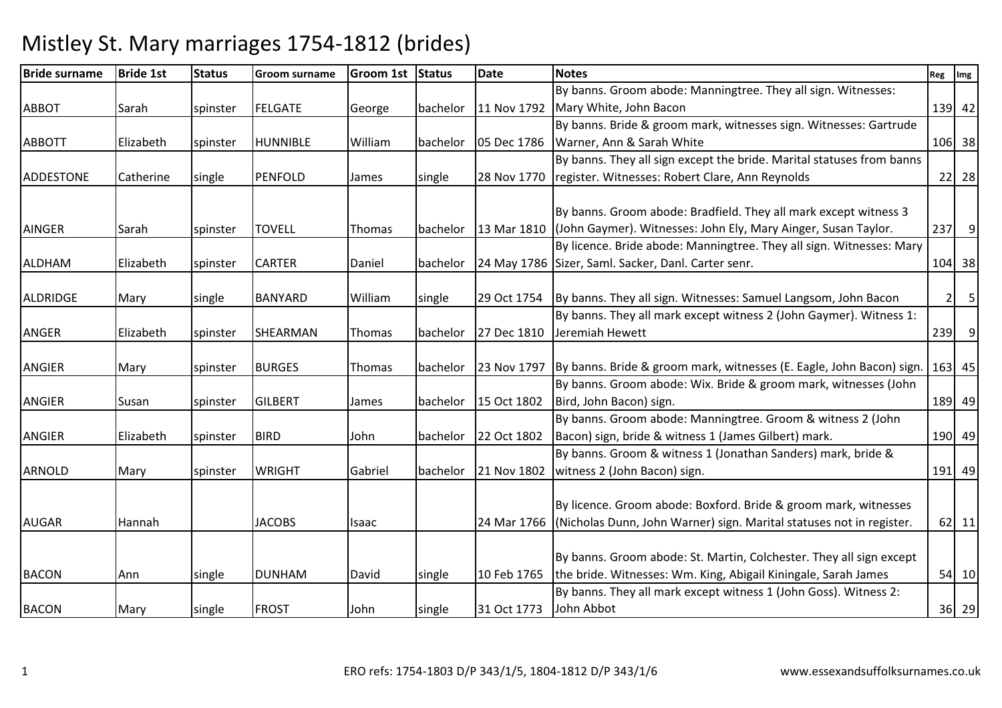| <b>Bride surname</b> | <b>Bride 1st</b> | <b>Status</b> | Groom surname   | Groom 1st Status |          | <b>Date</b>          | <b>Notes</b>                                                          | Reg | Img       |
|----------------------|------------------|---------------|-----------------|------------------|----------|----------------------|-----------------------------------------------------------------------|-----|-----------|
|                      |                  |               |                 |                  |          |                      | By banns. Groom abode: Manningtree. They all sign. Witnesses:         |     |           |
| <b>ABBOT</b>         | Sarah            | spinster      | <b>FELGATE</b>  | George           | bachelor | 11 Nov 1792          | Mary White, John Bacon                                                |     | 139 42    |
|                      |                  |               |                 |                  |          |                      | By banns. Bride & groom mark, witnesses sign. Witnesses: Gartrude     |     |           |
| <b>ABBOTT</b>        | Elizabeth        | spinster      | <b>HUNNIBLE</b> | William          | bachelor | 05 Dec 1786          | Warner, Ann & Sarah White                                             |     | 106 38    |
|                      |                  |               |                 |                  |          |                      | By banns. They all sign except the bride. Marital statuses from banns |     |           |
| ADDESTONE            | Catherine        | single        | PENFOLD         | James            | single   | 28 Nov 1770          | register. Witnesses: Robert Clare, Ann Reynolds                       |     | 22 28     |
|                      |                  |               |                 |                  |          |                      |                                                                       |     |           |
|                      |                  |               |                 |                  |          |                      | By banns. Groom abode: Bradfield. They all mark except witness 3      |     |           |
| <b>AINGER</b>        | Sarah            | spinster      | <b>TOVELL</b>   | Thomas           | bachelor | 13 Mar 1810          | (John Gaymer). Witnesses: John Ely, Mary Ainger, Susan Taylor.        | 237 | 9         |
|                      |                  |               |                 |                  |          |                      | By licence. Bride abode: Manningtree. They all sign. Witnesses: Mary  |     |           |
| <b>ALDHAM</b>        | Elizabeth        | spinster      | <b>CARTER</b>   | Daniel           | bachelor |                      | 24 May 1786 Sizer, Saml. Sacker, Danl. Carter senr.                   |     | 104 38    |
|                      |                  |               |                 |                  |          |                      |                                                                       |     |           |
| ALDRIDGE             | Mary             | single        | <b>BANYARD</b>  | William          | single   | 29 Oct 1754          | By banns. They all sign. Witnesses: Samuel Langsom, John Bacon        |     | 5<br>2    |
|                      |                  |               |                 |                  |          |                      | By banns. They all mark except witness 2 (John Gaymer). Witness 1:    |     |           |
| <b>ANGER</b>         | Elizabeth        | spinster      | SHEARMAN        | Thomas           | bachelor | 27 Dec 1810          | Jeremiah Hewett                                                       |     | $239$ $9$ |
|                      |                  |               |                 |                  |          |                      |                                                                       |     |           |
| <b>ANGIER</b>        | Mary             | spinster      | <b>BURGES</b>   | Thomas           | bachelor | 23 Nov 1797          | By banns. Bride & groom mark, witnesses (E. Eagle, John Bacon) sign.  |     | 163 45    |
|                      |                  |               |                 |                  |          |                      | By banns. Groom abode: Wix. Bride & groom mark, witnesses (John       |     |           |
| <b>ANGIER</b>        | Susan            | spinster      | <b>GILBERT</b>  | James            |          | bachelor 15 Oct 1802 | Bird, John Bacon) sign.                                               |     | 189 49    |
|                      |                  |               |                 |                  |          |                      | By banns. Groom abode: Manningtree. Groom & witness 2 (John           |     |           |
| <b>ANGIER</b>        | Elizabeth        | spinster      | <b>BIRD</b>     | John             | bachelor | 22 Oct 1802          | Bacon) sign, bride & witness 1 (James Gilbert) mark.                  |     | 190 49    |
|                      |                  |               |                 |                  |          |                      | By banns. Groom & witness 1 (Jonathan Sanders) mark, bride &          |     |           |
| <b>ARNOLD</b>        | Mary             | spinster      | <b>WRIGHT</b>   | Gabriel          | bachelor | 21 Nov 1802          | witness 2 (John Bacon) sign.                                          |     | 191 49    |
|                      |                  |               |                 |                  |          |                      |                                                                       |     |           |
|                      |                  |               |                 |                  |          |                      | By licence. Groom abode: Boxford. Bride & groom mark, witnesses       |     |           |
| <b>AUGAR</b>         | Hannah           |               | <b>JACOBS</b>   | Isaac            |          | 24 Mar 1766          | (Nicholas Dunn, John Warner) sign. Marital statuses not in register.  |     | $62$ 11   |
|                      |                  |               |                 |                  |          |                      |                                                                       |     |           |
|                      |                  |               |                 |                  |          |                      | By banns. Groom abode: St. Martin, Colchester. They all sign except   |     |           |
| <b>BACON</b>         | Ann              | single        | <b>DUNHAM</b>   | David            | single   | 10 Feb 1765          | the bride. Witnesses: Wm. King, Abigail Kiningale, Sarah James        |     | 54 10     |
|                      |                  |               |                 |                  |          |                      | By banns. They all mark except witness 1 (John Goss). Witness 2:      |     |           |
| <b>BACON</b>         | Mary             | single        | <b>FROST</b>    | John             | single   | 31 Oct 1773          | John Abbot                                                            |     | 36 29     |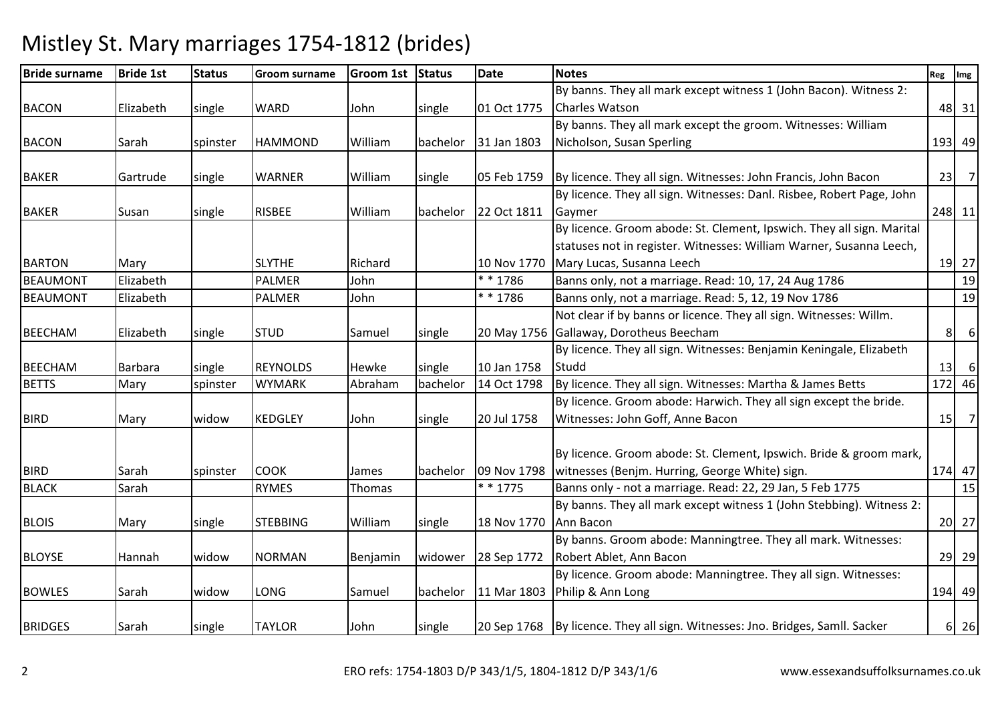| <b>Bride surname</b> | <b>Bride 1st</b> | <b>Status</b> | Groom surname   | Groom 1st Status |          | <b>Date</b> | <b>Notes</b>                                                                    | Reg | Img                        |
|----------------------|------------------|---------------|-----------------|------------------|----------|-------------|---------------------------------------------------------------------------------|-----|----------------------------|
|                      |                  |               |                 |                  |          |             | By banns. They all mark except witness 1 (John Bacon). Witness 2:               |     |                            |
| <b>BACON</b>         | Elizabeth        | single        | <b>WARD</b>     | John             | single   | 01 Oct 1775 | Charles Watson                                                                  |     | 48 31                      |
|                      |                  |               |                 |                  |          |             | By banns. They all mark except the groom. Witnesses: William                    |     |                            |
| <b>BACON</b>         | Sarah            | spinster      | <b>HAMMOND</b>  | William          | bachelor | 31 Jan 1803 | Nicholson, Susan Sperling                                                       |     | 193 49                     |
|                      |                  |               |                 |                  |          |             |                                                                                 |     |                            |
| <b>BAKER</b>         | Gartrude         | single        | <b>WARNER</b>   | William          | single   | 05 Feb 1759 | By licence. They all sign. Witnesses: John Francis, John Bacon                  | 23  | $\overline{7}$             |
|                      |                  |               |                 |                  |          |             | By licence. They all sign. Witnesses: Danl. Risbee, Robert Page, John           |     |                            |
| <b>BAKER</b>         | Susan            | single        | <b>RISBEE</b>   | William          | bachelor | 22 Oct 1811 | Gaymer                                                                          |     | 248 11                     |
|                      |                  |               |                 |                  |          |             | By licence. Groom abode: St. Clement, Ipswich. They all sign. Marital           |     |                            |
|                      |                  |               |                 |                  |          |             | statuses not in register. Witnesses: William Warner, Susanna Leech,             |     |                            |
| <b>BARTON</b>        | Mary             |               | <b>SLYTHE</b>   | Richard          |          | 10 Nov 1770 | Mary Lucas, Susanna Leech                                                       |     | 19 27                      |
| <b>BEAUMONT</b>      | Elizabeth        |               | <b>PALMER</b>   | John             |          | * * 1786    | Banns only, not a marriage. Read: 10, 17, 24 Aug 1786                           |     | 19                         |
| <b>BEAUMONT</b>      | Elizabeth        |               | <b>PALMER</b>   | John             |          | ** 1786     | Banns only, not a marriage. Read: 5, 12, 19 Nov 1786                            |     | 19                         |
|                      |                  |               |                 |                  |          |             | Not clear if by banns or licence. They all sign. Witnesses: Willm.              |     |                            |
| <b>BEECHAM</b>       | Elizabeth        | single        | <b>STUD</b>     | Samuel           | single   | 20 May 1756 | Gallaway, Dorotheus Beecham                                                     | 8   | 6                          |
|                      |                  |               |                 |                  |          |             | By licence. They all sign. Witnesses: Benjamin Keningale, Elizabeth             |     |                            |
| <b>BEECHAM</b>       | <b>Barbara</b>   | single        | <b>REYNOLDS</b> | Hewke            | single   | 10 Jan 1758 | Studd                                                                           | 13  | 6                          |
| <b>BETTS</b>         | Mary             | spinster      | <b>WYMARK</b>   | Abraham          | bachelor | 14 Oct 1798 | By licence. They all sign. Witnesses: Martha & James Betts                      |     | 172 46                     |
|                      |                  |               |                 |                  |          |             | By licence. Groom abode: Harwich. They all sign except the bride.               |     |                            |
| <b>BIRD</b>          | Mary             | widow         | <b>KEDGLEY</b>  | John             | single   | 20 Jul 1758 | Witnesses: John Goff, Anne Bacon                                                |     | $15$ 7                     |
|                      |                  |               |                 |                  |          |             |                                                                                 |     |                            |
|                      |                  |               |                 |                  |          |             | By licence. Groom abode: St. Clement, Ipswich. Bride & groom mark,              |     |                            |
| <b>BIRD</b>          | Sarah            | spinster      | <b>COOK</b>     | James            | bachelor | 09 Nov 1798 | witnesses (Benjm. Hurring, George White) sign.                                  |     | 174 47                     |
| <b>BLACK</b>         | Sarah            |               | <b>RYMES</b>    | Thomas           |          | $* * 1775$  | Banns only - not a marriage. Read: 22, 29 Jan, 5 Feb 1775                       |     | 15                         |
|                      |                  |               |                 |                  |          |             | By banns. They all mark except witness 1 (John Stebbing). Witness 2:            |     |                            |
| <b>BLOIS</b>         | Mary             | single        | <b>STEBBING</b> | William          | single   | 18 Nov 1770 | Ann Bacon                                                                       |     | 20 27                      |
|                      |                  |               |                 |                  |          |             | By banns. Groom abode: Manningtree. They all mark. Witnesses:                   |     |                            |
| <b>BLOYSE</b>        | Hannah           | widow         | <b>NORMAN</b>   | Benjamin         | widower  | 28 Sep 1772 | Robert Ablet, Ann Bacon                                                         |     | 29 29                      |
|                      |                  |               |                 |                  |          |             | By licence. Groom abode: Manningtree. They all sign. Witnesses:                 |     |                            |
| <b>BOWLES</b>        | Sarah            | widow         | LONG            | Samuel           | bachelor | 11 Mar 1803 | Philip & Ann Long                                                               |     | 194 49                     |
|                      |                  |               |                 |                  |          |             |                                                                                 |     |                            |
| <b>BRIDGES</b>       | Sarah            | single        | <b>TAYLOR</b>   | John             | single   |             | 20 Sep 1768   By licence. They all sign. Witnesses: Jno. Bridges, Samll. Sacker |     | $6 \overline{\smash{)}26}$ |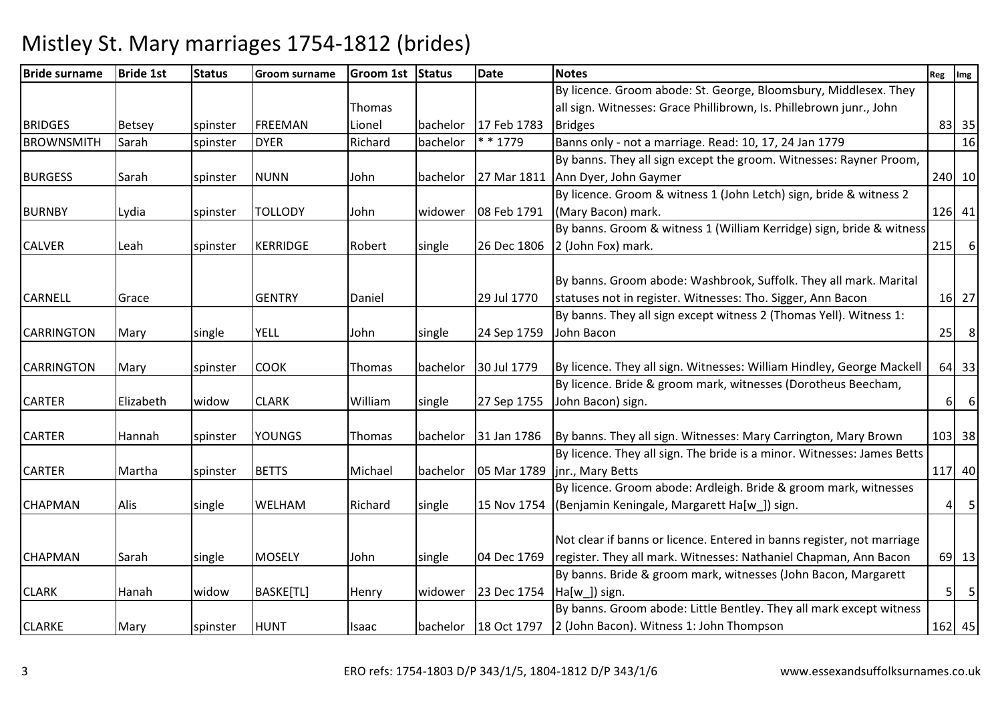| <b>Bride surname</b> | <b>Bride 1st</b> | <b>Status</b> | <b>Groom surname</b> | Groom 1st Status |          | <b>Date</b> | <b>Notes</b>                                                            | Reg            | Img              |
|----------------------|------------------|---------------|----------------------|------------------|----------|-------------|-------------------------------------------------------------------------|----------------|------------------|
|                      |                  |               |                      |                  |          |             | By licence. Groom abode: St. George, Bloomsbury, Middlesex. They        |                |                  |
|                      |                  |               |                      | Thomas           |          |             | all sign. Witnesses: Grace Phillibrown, Is. Phillebrown junr., John     |                |                  |
| <b>BRIDGES</b>       | Betsey           | spinster      | <b>FREEMAN</b>       | Lionel           | bachelor | 17 Feb 1783 | <b>Bridges</b>                                                          |                | 83 35            |
| <b>BROWNSMITH</b>    | Sarah            | spinster      | <b>DYER</b>          | Richard          | bachelor | * * 1779    | Banns only - not a marriage. Read: 10, 17, 24 Jan 1779                  |                | 16               |
|                      |                  |               |                      |                  |          |             | By banns. They all sign except the groom. Witnesses: Rayner Proom,      |                |                  |
| <b>BURGESS</b>       | Sarah            | spinster      | <b>NUNN</b>          | John             | bachelor | 27 Mar 1811 | Ann Dyer, John Gaymer                                                   |                | 240 10           |
|                      |                  |               |                      |                  |          |             | By licence. Groom & witness 1 (John Letch) sign, bride & witness 2      |                |                  |
| <b>BURNBY</b>        | Lydia            | spinster      | TOLLODY              | John             | widower  | 08 Feb 1791 | (Mary Bacon) mark.                                                      |                | $126$ 41         |
|                      |                  |               |                      |                  |          |             | By banns. Groom & witness 1 (William Kerridge) sign, bride & witness    |                |                  |
| <b>CALVER</b>        | Leah             | spinster      | <b>KERRIDGE</b>      | Robert           | single   | 26 Dec 1806 | 2 (John Fox) mark.                                                      | 215            | $6 \overline{6}$ |
|                      |                  |               |                      |                  |          |             |                                                                         |                |                  |
|                      |                  |               |                      |                  |          |             | By banns. Groom abode: Washbrook, Suffolk. They all mark. Marital       |                |                  |
| <b>CARNELL</b>       | Grace            |               | <b>GENTRY</b>        | Daniel           |          | 29 Jul 1770 | statuses not in register. Witnesses: Tho. Sigger, Ann Bacon             |                | $16$ 27          |
|                      |                  |               |                      |                  |          |             | By banns. They all sign except witness 2 (Thomas Yell). Witness 1:      |                |                  |
| <b>CARRINGTON</b>    | Mary             | single        | <b>YELL</b>          | John             | single   | 24 Sep 1759 | John Bacon                                                              | 25             | 8 <sup>8</sup>   |
|                      |                  |               |                      |                  |          |             |                                                                         |                |                  |
| <b>CARRINGTON</b>    | Mary             | spinster      | <b>COOK</b>          | Thomas           | bachelor | 30 Jul 1779 | By licence. They all sign. Witnesses: William Hindley, George Mackell   |                | 64 33            |
|                      |                  |               |                      |                  |          |             | By licence. Bride & groom mark, witnesses (Dorotheus Beecham,           |                |                  |
| <b>CARTER</b>        | Elizabeth        | widow         | <b>CLARK</b>         | William          | single   | 27 Sep 1755 | John Bacon) sign.                                                       | $6 \mid$       | $\boldsymbol{6}$ |
|                      |                  |               |                      |                  |          |             |                                                                         |                |                  |
| <b>CARTER</b>        | Hannah           | spinster      | <b>YOUNGS</b>        | Thomas           | bachelor | 31 Jan 1786 | By banns. They all sign. Witnesses: Mary Carrington, Mary Brown         |                | 103 38           |
|                      |                  |               |                      |                  |          |             | By licence. They all sign. The bride is a minor. Witnesses: James Betts |                |                  |
| <b>CARTER</b>        | Martha           | spinster      | <b>BETTS</b>         | Michael          | bachelor | 05 Mar 1789 | jnr., Mary Betts                                                        |                | 117 40           |
|                      |                  |               |                      |                  |          |             | By licence. Groom abode: Ardleigh. Bride & groom mark, witnesses        |                |                  |
| <b>CHAPMAN</b>       | Alis             | single        | <b>WELHAM</b>        | Richard          | single   | 15 Nov 1754 | (Benjamin Keningale, Margarett Ha[w_]) sign.                            | 4 <sup>1</sup> | 5                |
|                      |                  |               |                      |                  |          |             |                                                                         |                |                  |
|                      |                  |               |                      |                  |          |             | Not clear if banns or licence. Entered in banns register, not marriage  |                |                  |
| <b>CHAPMAN</b>       | Sarah            | single        | <b>MOSELY</b>        | John             | single   | 04 Dec 1769 | register. They all mark. Witnesses: Nathaniel Chapman, Ann Bacon        |                | 69 13            |
|                      |                  |               |                      |                  |          |             | By banns. Bride & groom mark, witnesses (John Bacon, Margarett          |                |                  |
| <b>CLARK</b>         | Hanah            | widow         | BASKE[TL]            | Henry            | widower  | 23 Dec 1754 | Ha[w]) sign.                                                            | 5 <sup>1</sup> | $5\overline{5}$  |
|                      |                  |               |                      |                  |          |             | By banns. Groom abode: Little Bentley. They all mark except witness     |                |                  |
| <b>CLARKE</b>        | Mary             | spinster      | <b>HUNT</b>          | Isaac            | bachelor | 18 Oct 1797 | 2 (John Bacon). Witness 1: John Thompson                                |                | 162 45           |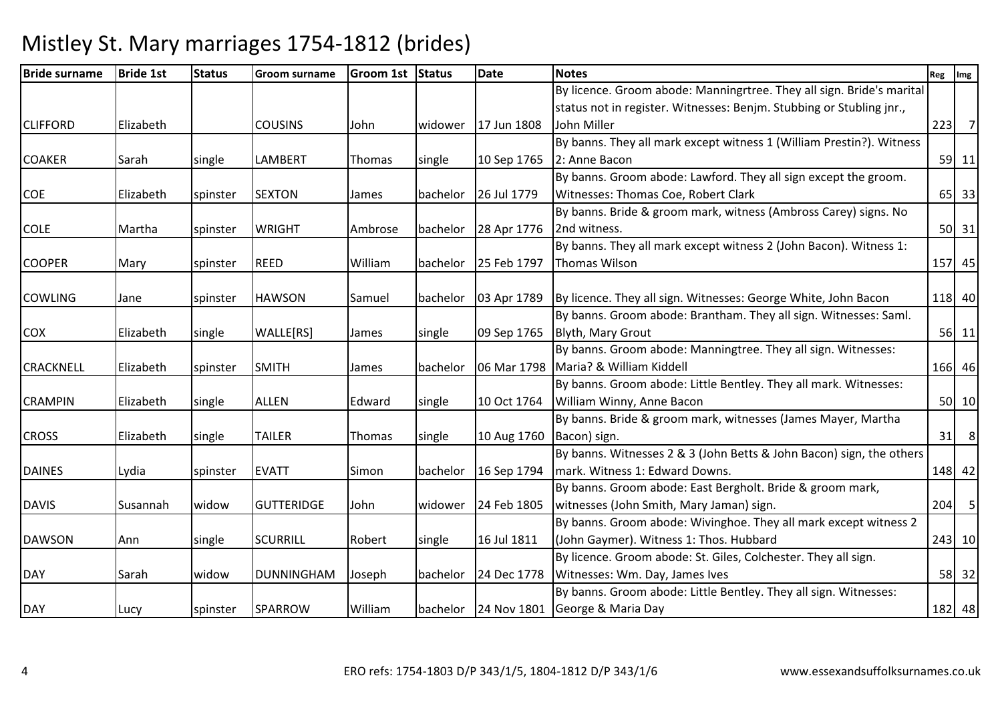| <b>Bride surname</b> | <b>Bride 1st</b> | <b>Status</b> | Groom surname     | Groom 1st Status |          | Date                 | <b>Notes</b>                                                          | Reg    | Img            |
|----------------------|------------------|---------------|-------------------|------------------|----------|----------------------|-----------------------------------------------------------------------|--------|----------------|
|                      |                  |               |                   |                  |          |                      | By licence. Groom abode: Manningrtree. They all sign. Bride's marital |        |                |
|                      |                  |               |                   |                  |          |                      | status not in register. Witnesses: Benjm. Stubbing or Stubling jnr.,  |        |                |
| <b>CLIFFORD</b>      | Elizabeth        |               | <b>COUSINS</b>    | John             | widower  | 17 Jun 1808          | John Miller                                                           | 223    | $\overline{7}$ |
|                      |                  |               |                   |                  |          |                      | By banns. They all mark except witness 1 (William Prestin?). Witness  |        |                |
| <b>COAKER</b>        | Sarah            | single        | LAMBERT           | Thomas           | single   | 10 Sep 1765          | 2: Anne Bacon                                                         |        | 59 11          |
|                      |                  |               |                   |                  |          |                      | By banns. Groom abode: Lawford. They all sign except the groom.       |        |                |
| <b>COE</b>           | Elizabeth        | spinster      | <b>SEXTON</b>     | James            |          | bachelor 26 Jul 1779 | Witnesses: Thomas Coe, Robert Clark                                   |        | 65 33          |
|                      |                  |               |                   |                  |          |                      | By banns. Bride & groom mark, witness (Ambross Carey) signs. No       |        |                |
| <b>COLE</b>          | Martha           | spinster      | <b>WRIGHT</b>     | Ambrose          | bachelor | 28 Apr 1776          | 2nd witness.                                                          |        | $50$ 31        |
|                      |                  |               |                   |                  |          |                      | By banns. They all mark except witness 2 (John Bacon). Witness 1:     |        |                |
| <b>COOPER</b>        | Mary             | spinster      | <b>REED</b>       | William          | bachelor | 25 Feb 1797          | Thomas Wilson                                                         | 157 45 |                |
|                      |                  |               |                   |                  |          |                      |                                                                       |        |                |
| <b>COWLING</b>       | Jane             | spinster      | <b>HAWSON</b>     | Samuel           |          | bachelor 03 Apr 1789 | By licence. They all sign. Witnesses: George White, John Bacon        |        | 118 40         |
|                      |                  |               |                   |                  |          |                      | By banns. Groom abode: Brantham. They all sign. Witnesses: Saml.      |        |                |
| <b>COX</b>           | Elizabeth        | single        | WALLE[RS]         | James            | single   | 09 Sep 1765          | Blyth, Mary Grout                                                     |        | $56$ 11        |
|                      |                  |               |                   |                  |          |                      | By banns. Groom abode: Manningtree. They all sign. Witnesses:         |        |                |
| <b>CRACKNELL</b>     | Elizabeth        | spinster      | <b>SMITH</b>      | James            | bachelor | 06 Mar 1798          | Maria? & William Kiddell                                              |        | 166 46         |
|                      |                  |               |                   |                  |          |                      | By banns. Groom abode: Little Bentley. They all mark. Witnesses:      |        |                |
| <b>CRAMPIN</b>       | Elizabeth        | single        | <b>ALLEN</b>      | Edward           | single   | 10 Oct 1764          | William Winny, Anne Bacon                                             |        | 50 10          |
|                      |                  |               |                   |                  |          |                      | By banns. Bride & groom mark, witnesses (James Mayer, Martha          |        |                |
| <b>CROSS</b>         | Elizabeth        | single        | <b>TAILER</b>     | Thomas           | single   | 10 Aug 1760          | Bacon) sign.                                                          | 31     | 8              |
|                      |                  |               |                   |                  |          |                      | By banns. Witnesses 2 & 3 (John Betts & John Bacon) sign, the others  |        |                |
| <b>DAINES</b>        | Lydia            | spinster      | <b>EVATT</b>      | Simon            | bachelor | 16 Sep 1794          | mark. Witness 1: Edward Downs.                                        |        | 148 42         |
|                      |                  |               |                   |                  |          |                      | By banns. Groom abode: East Bergholt. Bride & groom mark,             |        |                |
| <b>DAVIS</b>         | Susannah         | widow         | <b>GUTTERIDGE</b> | John             | widower  | 24 Feb 1805          | witnesses (John Smith, Mary Jaman) sign.                              |        | $204$ 5        |
|                      |                  |               |                   |                  |          |                      | By banns. Groom abode: Wivinghoe. They all mark except witness 2      |        |                |
| <b>DAWSON</b>        | Ann              | single        | <b>SCURRILL</b>   | Robert           | single   | 16 Jul 1811          | (John Gaymer). Witness 1: Thos. Hubbard                               |        | 243 10         |
|                      |                  |               |                   |                  |          |                      | By licence. Groom abode: St. Giles, Colchester. They all sign.        |        |                |
| <b>DAY</b>           | Sarah            | widow         | <b>DUNNINGHAM</b> | Joseph           | bachelor | 24 Dec 1778          | Witnesses: Wm. Day, James Ives                                        |        | 58 32          |
|                      |                  |               |                   |                  |          |                      | By banns. Groom abode: Little Bentley. They all sign. Witnesses:      |        |                |
| DAY                  | Lucy             | spinster      | <b>SPARROW</b>    | William          |          | bachelor 24 Nov 1801 | George & Maria Day                                                    |        | 182 48         |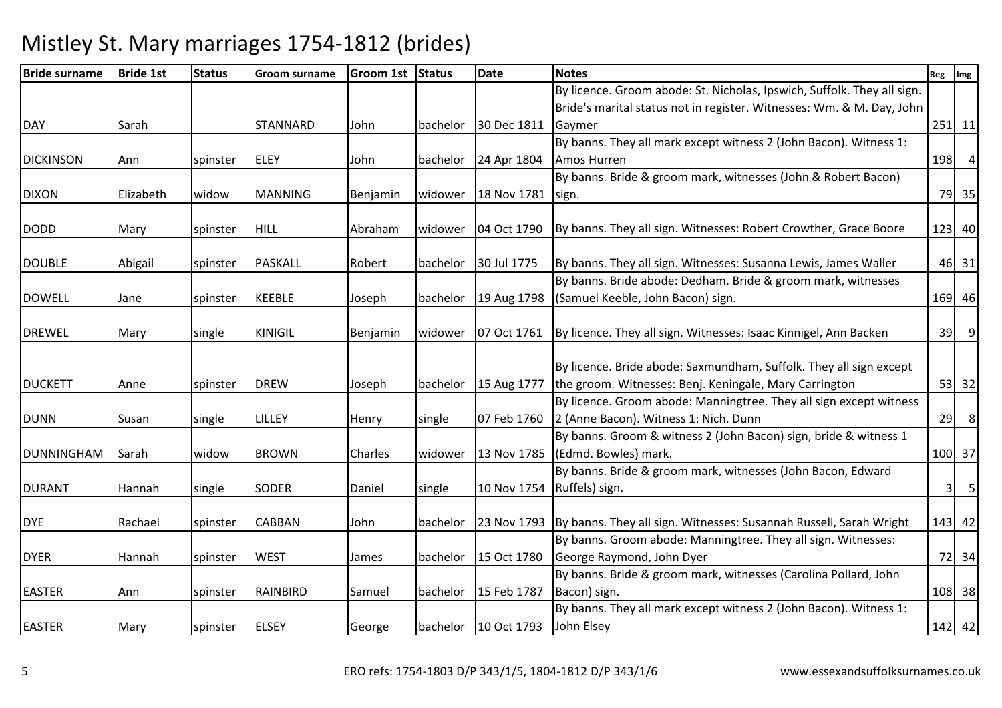| <b>Bride surname</b> | <b>Bride 1st</b> | <b>Status</b> | <b>Groom surname</b> | Groom 1st Status |          | <b>Date</b>          | <b>Notes</b>                                                                   | Reg            | Img            |
|----------------------|------------------|---------------|----------------------|------------------|----------|----------------------|--------------------------------------------------------------------------------|----------------|----------------|
|                      |                  |               |                      |                  |          |                      | By licence. Groom abode: St. Nicholas, Ipswich, Suffolk. They all sign.        |                |                |
|                      |                  |               |                      |                  |          |                      | Bride's marital status not in register. Witnesses: Wm. & M. Day, John          |                |                |
| <b>DAY</b>           | Sarah            |               | <b>STANNARD</b>      | John             | bachelor | 30 Dec 1811          | Gaymer                                                                         |                | $251$ 11       |
|                      |                  |               |                      |                  |          |                      | By banns. They all mark except witness 2 (John Bacon). Witness 1:              |                |                |
| <b>DICKINSON</b>     | Ann              | spinster      | <b>ELEY</b>          | John             | bachelor | 24 Apr 1804          | <b>Amos Hurren</b>                                                             | 198            | $\overline{4}$ |
|                      |                  |               |                      |                  |          |                      | By banns. Bride & groom mark, witnesses (John & Robert Bacon)                  |                |                |
| <b>DIXON</b>         | Elizabeth        | widow         | <b>MANNING</b>       | Benjamin         | widower  | 18 Nov 1781          | sign.                                                                          |                | 79 35          |
|                      |                  |               |                      |                  |          |                      |                                                                                |                |                |
| <b>DODD</b>          | Mary             | spinster      | <b>HILL</b>          | Abraham          | widower  | 04 Oct 1790          | By banns. They all sign. Witnesses: Robert Crowther, Grace Boore               |                | 123 40         |
|                      |                  |               |                      |                  |          |                      |                                                                                |                |                |
| <b>DOUBLE</b>        | Abigail          | spinster      | <b>PASKALL</b>       | Robert           | bachelor | 30 Jul 1775          | By banns. They all sign. Witnesses: Susanna Lewis, James Waller                |                | 46 31          |
|                      |                  |               |                      |                  |          |                      | By banns. Bride abode: Dedham. Bride & groom mark, witnesses                   |                |                |
| <b>DOWELL</b>        | Jane             | spinster      | <b>KEEBLE</b>        | Joseph           | bachelor | 19 Aug 1798          | (Samuel Keeble, John Bacon) sign.                                              |                | 169 46         |
|                      |                  |               |                      |                  |          |                      |                                                                                |                |                |
| <b>DREWEL</b>        | Mary             | single        | <b>KINIGIL</b>       | Benjamin         | widower  | 07 Oct 1761          | By licence. They all sign. Witnesses: Isaac Kinnigel, Ann Backen               | 39             | 9              |
|                      |                  |               |                      |                  |          |                      |                                                                                |                |                |
|                      |                  |               |                      |                  |          |                      | By licence. Bride abode: Saxmundham, Suffolk. They all sign except             |                |                |
| <b>DUCKETT</b>       | Anne             | spinster      | <b>DREW</b>          | Joseph           | bachelor | 15 Aug 1777          | the groom. Witnesses: Benj. Keningale, Mary Carrington                         |                | $53$ 32        |
|                      |                  |               |                      |                  |          |                      | By licence. Groom abode: Manningtree. They all sign except witness             |                |                |
| <b>DUNN</b>          | Susan            | single        | LILLEY               | Henry            | single   | 07 Feb 1760          | 2 (Anne Bacon). Witness 1: Nich. Dunn                                          | 29             | 8              |
|                      |                  |               |                      |                  |          |                      | By banns. Groom & witness 2 (John Bacon) sign, bride & witness 1               |                |                |
| <b>DUNNINGHAM</b>    | Sarah            | widow         | <b>BROWN</b>         | Charles          | widower  | 13 Nov 1785          | (Edmd. Bowles) mark.                                                           |                | 100 37         |
|                      |                  |               |                      |                  |          |                      | By banns. Bride & groom mark, witnesses (John Bacon, Edward                    |                |                |
| <b>DURANT</b>        | Hannah           | single        | SODER                | Daniel           | single   |                      | 10 Nov 1754 Ruffels) sign.                                                     | 3 <sup>1</sup> | 5              |
|                      |                  |               |                      |                  |          |                      |                                                                                |                |                |
| <b>DYE</b>           | Rachael          | spinster      | <b>CABBAN</b>        | John             | bachelor |                      | 23 Nov 1793 By banns. They all sign. Witnesses: Susannah Russell, Sarah Wright |                | 143 42         |
|                      |                  |               |                      |                  |          |                      | By banns. Groom abode: Manningtree. They all sign. Witnesses:                  |                |                |
| <b>DYER</b>          | Hannah           | spinster      | <b>WEST</b>          | James            | bachelor | 15 Oct 1780          | George Raymond, John Dyer                                                      |                | 72 34          |
|                      |                  |               |                      |                  |          |                      | By banns. Bride & groom mark, witnesses (Carolina Pollard, John                |                |                |
| <b>EASTER</b>        | Ann              | spinster      | RAINBIRD             | Samuel           | bachelor | 15 Feb 1787          | Bacon) sign.                                                                   |                | 108 38         |
|                      |                  |               |                      |                  |          |                      | By banns. They all mark except witness 2 (John Bacon). Witness 1:              |                |                |
| <b>EASTER</b>        | Mary             | spinster      | <b>ELSEY</b>         | George           |          | bachelor 10 Oct 1793 | John Elsey                                                                     |                | 142 42         |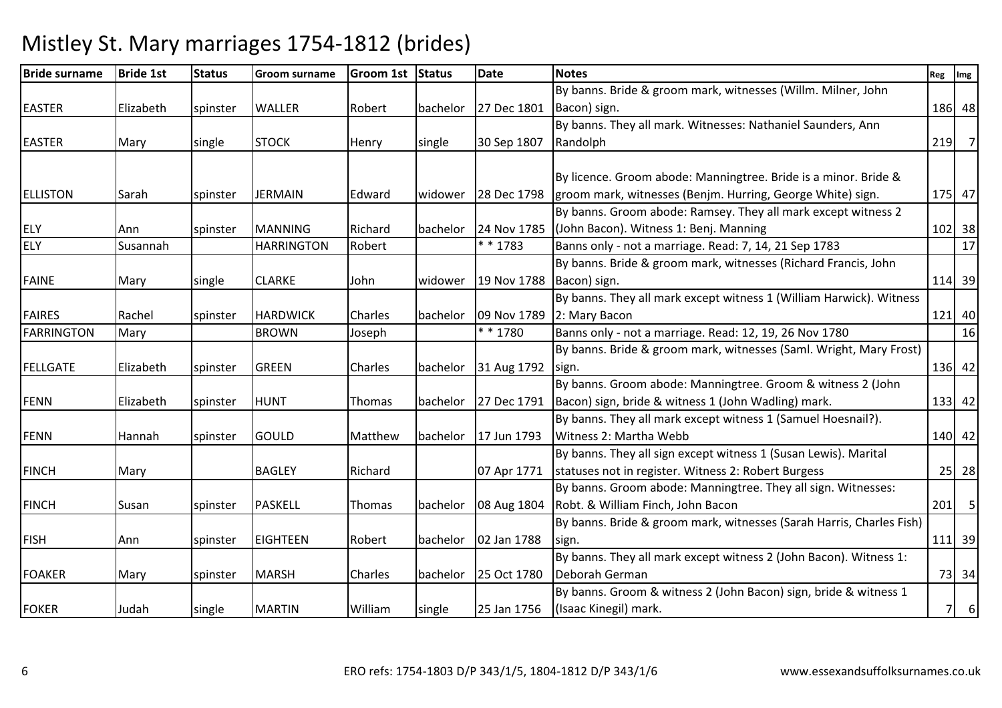| <b>Bride surname</b> | <b>Bride 1st</b> | <b>Status</b> | <b>Groom surname</b> | Groom 1st Status |          | Date                 | <b>Notes</b>                                                         | Reg Img |          |
|----------------------|------------------|---------------|----------------------|------------------|----------|----------------------|----------------------------------------------------------------------|---------|----------|
|                      |                  |               |                      |                  |          |                      | By banns. Bride & groom mark, witnesses (Willm. Milner, John         |         |          |
| <b>EASTER</b>        | Elizabeth        | spinster      | <b>WALLER</b>        | Robert           | bachelor | 27 Dec 1801          | Bacon) sign.                                                         |         | 186 48   |
|                      |                  |               |                      |                  |          |                      | By banns. They all mark. Witnesses: Nathaniel Saunders, Ann          |         |          |
| <b>EASTER</b>        | Mary             | single        | <b>STOCK</b>         | Henry            | single   | 30 Sep 1807          | Randolph                                                             |         | $219$ 7  |
|                      |                  |               |                      |                  |          |                      |                                                                      |         |          |
|                      |                  |               |                      |                  |          |                      | By licence. Groom abode: Manningtree. Bride is a minor. Bride &      |         |          |
| <b>ELLISTON</b>      | Sarah            | spinster      | <b>JERMAIN</b>       | Edward           |          | widower 28 Dec 1798  | groom mark, witnesses (Benjm. Hurring, George White) sign.           |         | 175 47   |
|                      |                  |               |                      |                  |          |                      | By banns. Groom abode: Ramsey. They all mark except witness 2        |         |          |
| <b>ELY</b>           | Ann              | spinster      | <b>MANNING</b>       | Richard          | bachelor | 24 Nov 1785          | (John Bacon). Witness 1: Benj. Manning                               |         | 102 38   |
| <b>ELY</b>           | Susannah         |               | <b>HARRINGTON</b>    | Robert           |          | * * 1783             | Banns only - not a marriage. Read: 7, 14, 21 Sep 1783                |         | 17       |
|                      |                  |               |                      |                  |          |                      | By banns. Bride & groom mark, witnesses (Richard Francis, John       |         |          |
| <b>FAINE</b>         | Mary             | single        | <b>CLARKE</b>        | John             | widower  | 19 Nov 1788          | Bacon) sign.                                                         |         | 114 39   |
|                      |                  |               |                      |                  |          |                      | By banns. They all mark except witness 1 (William Harwick). Witness  |         |          |
| <b>FAIRES</b>        | Rachel           | spinster      | <b>HARDWICK</b>      | Charles          | bachelor | 09 Nov 1789          | 2: Mary Bacon                                                        |         | $121$ 40 |
| <b>FARRINGTON</b>    | Mary             |               | <b>BROWN</b>         | Joseph           |          | * * 1780             | Banns only - not a marriage. Read: 12, 19, 26 Nov 1780               |         | 16       |
|                      |                  |               |                      |                  |          |                      | By banns. Bride & groom mark, witnesses (Saml. Wright, Mary Frost)   |         |          |
| <b>FELLGATE</b>      | Elizabeth        | spinster      | <b>GREEN</b>         | Charles          | bachelor | 31 Aug 1792          | sign.                                                                |         | 136 42   |
|                      |                  |               |                      |                  |          |                      | By banns. Groom abode: Manningtree. Groom & witness 2 (John          |         |          |
| <b>FENN</b>          | Elizabeth        | spinster      | <b>HUNT</b>          | Thomas           |          | bachelor 27 Dec 1791 | Bacon) sign, bride & witness 1 (John Wadling) mark.                  |         | $133$ 42 |
|                      |                  |               |                      |                  |          |                      | By banns. They all mark except witness 1 (Samuel Hoesnail?).         |         |          |
| <b>FENN</b>          | Hannah           | spinster      | <b>GOULD</b>         | Matthew          | bachelor | 17 Jun 1793          | Witness 2: Martha Webb                                               |         | 140 42   |
|                      |                  |               |                      |                  |          |                      | By banns. They all sign except witness 1 (Susan Lewis). Marital      |         |          |
| <b>FINCH</b>         | Mary             |               | <b>BAGLEY</b>        | Richard          |          | 07 Apr 1771          | statuses not in register. Witness 2: Robert Burgess                  |         | $25$ 28  |
|                      |                  |               |                      |                  |          |                      | By banns. Groom abode: Manningtree. They all sign. Witnesses:        |         |          |
| <b>FINCH</b>         | Susan            | spinster      | <b>PASKELL</b>       | Thomas           |          | bachelor 08 Aug 1804 | Robt. & William Finch, John Bacon                                    |         | $201$ 5  |
|                      |                  |               |                      |                  |          |                      | By banns. Bride & groom mark, witnesses (Sarah Harris, Charles Fish) |         |          |
| <b>FISH</b>          | Ann              | spinster      | <b>EIGHTEEN</b>      | Robert           | bachelor | 02 Jan 1788          | sign.                                                                |         | $111$ 39 |
|                      |                  |               |                      |                  |          |                      | By banns. They all mark except witness 2 (John Bacon). Witness 1:    |         |          |
| <b>FOAKER</b>        | Mary             | spinster      | <b>MARSH</b>         | Charles          | bachelor | 25 Oct 1780          | Deborah German                                                       |         | 73 34    |
|                      |                  |               |                      |                  |          |                      | By banns. Groom & witness 2 (John Bacon) sign, bride & witness 1     |         |          |
| <b>FOKER</b>         | Judah            | single        | <b>MARTIN</b>        | William          | single   | 25 Jan 1756          | (Isaac Kinegil) mark.                                                | 7       | 6        |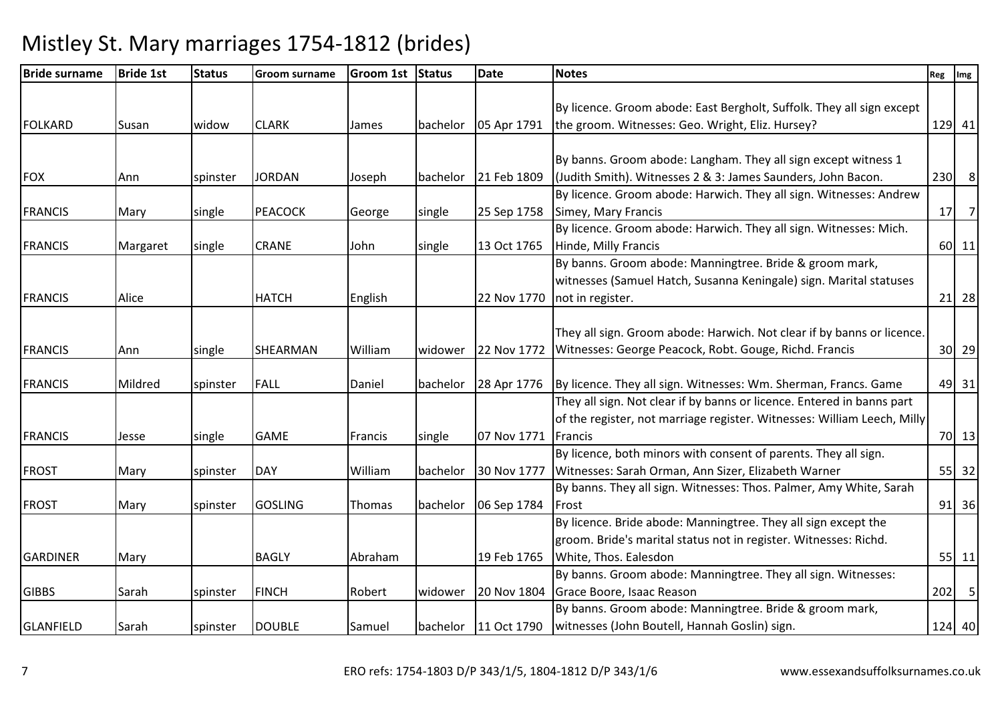| <b>Bride surname</b> | <b>Bride 1st</b> | <b>Status</b> | <b>Groom surname</b> | Groom 1st Status |          | <b>Date</b>             | <b>Notes</b>                                                            | Reg | Img     |
|----------------------|------------------|---------------|----------------------|------------------|----------|-------------------------|-------------------------------------------------------------------------|-----|---------|
|                      |                  |               |                      |                  |          |                         |                                                                         |     |         |
|                      |                  |               |                      |                  |          |                         | By licence. Groom abode: East Bergholt, Suffolk. They all sign except   |     |         |
| <b>FOLKARD</b>       | Susan            | widow         | <b>CLARK</b>         | James            | bachelor | 05 Apr 1791             | the groom. Witnesses: Geo. Wright, Eliz. Hursey?                        |     | 129 41  |
|                      |                  |               |                      |                  |          |                         |                                                                         |     |         |
|                      |                  |               |                      |                  |          |                         | By banns. Groom abode: Langham. They all sign except witness 1          |     |         |
| <b>FOX</b>           | Ann              | spinster      | <b>JORDAN</b>        | Joseph           | bachelor | 21 Feb 1809             | (Judith Smith). Witnesses 2 & 3: James Saunders, John Bacon.            |     | $230$ 8 |
|                      |                  |               |                      |                  |          |                         | By licence. Groom abode: Harwich. They all sign. Witnesses: Andrew      |     |         |
| <b>FRANCIS</b>       | Mary             | single        | <b>PEACOCK</b>       | George           | single   | 25 Sep 1758             | Simey, Mary Francis                                                     |     | $17$ 7  |
|                      |                  |               |                      |                  |          |                         | By licence. Groom abode: Harwich. They all sign. Witnesses: Mich.       |     |         |
| <b>FRANCIS</b>       | Margaret         | single        | <b>CRANE</b>         | John             | single   | 13 Oct 1765             | Hinde, Milly Francis                                                    |     | 60 11   |
|                      |                  |               |                      |                  |          |                         | By banns. Groom abode: Manningtree. Bride & groom mark,                 |     |         |
|                      |                  |               |                      |                  |          |                         | witnesses (Samuel Hatch, Susanna Keningale) sign. Marital statuses      |     |         |
| <b>FRANCIS</b>       | Alice            |               | <b>HATCH</b>         | English          |          | 22 Nov 1770             | not in register.                                                        |     | $21$ 28 |
|                      |                  |               |                      |                  |          |                         |                                                                         |     |         |
|                      |                  |               |                      |                  |          |                         | They all sign. Groom abode: Harwich. Not clear if by banns or licence.  |     |         |
| <b>FRANCIS</b>       | Ann              | single        | SHEARMAN             | William          | widower  | 22 Nov 1772             | Witnesses: George Peacock, Robt. Gouge, Richd. Francis                  |     | $30$ 29 |
|                      |                  |               |                      |                  |          |                         |                                                                         |     |         |
| <b>FRANCIS</b>       | Mildred          | spinster      | <b>FALL</b>          | Daniel           | bachelor | 28 Apr 1776             | By licence. They all sign. Witnesses: Wm. Sherman, Francs. Game         |     | 49 31   |
|                      |                  |               |                      |                  |          |                         | They all sign. Not clear if by banns or licence. Entered in banns part  |     |         |
|                      |                  |               |                      |                  |          |                         | of the register, not marriage register. Witnesses: William Leech, Milly |     |         |
| <b>FRANCIS</b>       | Jesse            | single        | <b>GAME</b>          | Francis          | single   | 07 Nov 1771             | Francis                                                                 |     | 70 13   |
|                      |                  |               |                      |                  |          |                         | By licence, both minors with consent of parents. They all sign.         |     |         |
| <b>FROST</b>         | Mary             | spinster      | <b>DAY</b>           | William          | bachelor | 30 Nov 1777             | Witnesses: Sarah Orman, Ann Sizer, Elizabeth Warner                     |     | 55 32   |
|                      |                  |               |                      |                  |          |                         | By banns. They all sign. Witnesses: Thos. Palmer, Amy White, Sarah      |     |         |
| <b>FROST</b>         | Mary             | spinster      | <b>GOSLING</b>       | Thomas           | bachelor | 06 Sep 1784             | Frost                                                                   |     | $91$ 36 |
|                      |                  |               |                      |                  |          |                         | By licence. Bride abode: Manningtree. They all sign except the          |     |         |
|                      |                  |               |                      |                  |          |                         | groom. Bride's marital status not in register. Witnesses: Richd.        |     |         |
| <b>GARDINER</b>      | Mary             |               | <b>BAGLY</b>         | Abraham          |          | 19 Feb 1765             | White, Thos. Ealesdon                                                   |     | $55$ 11 |
|                      |                  |               |                      |                  |          |                         | By banns. Groom abode: Manningtree. They all sign. Witnesses:           |     |         |
| <b>GIBBS</b>         | Sarah            | spinster      | <b>FINCH</b>         | Robert           | widower  | 20 Nov 1804             | Grace Boore, Isaac Reason                                               |     | $202$ 5 |
|                      |                  |               |                      |                  |          |                         | By banns. Groom abode: Manningtree. Bride & groom mark,                 |     |         |
| <b>GLANFIELD</b>     | Sarah            | spinster      | <b>DOUBLE</b>        | Samuel           |          | bachelor $ 11$ Oct 1790 | witnesses (John Boutell, Hannah Goslin) sign.                           |     | 124 40  |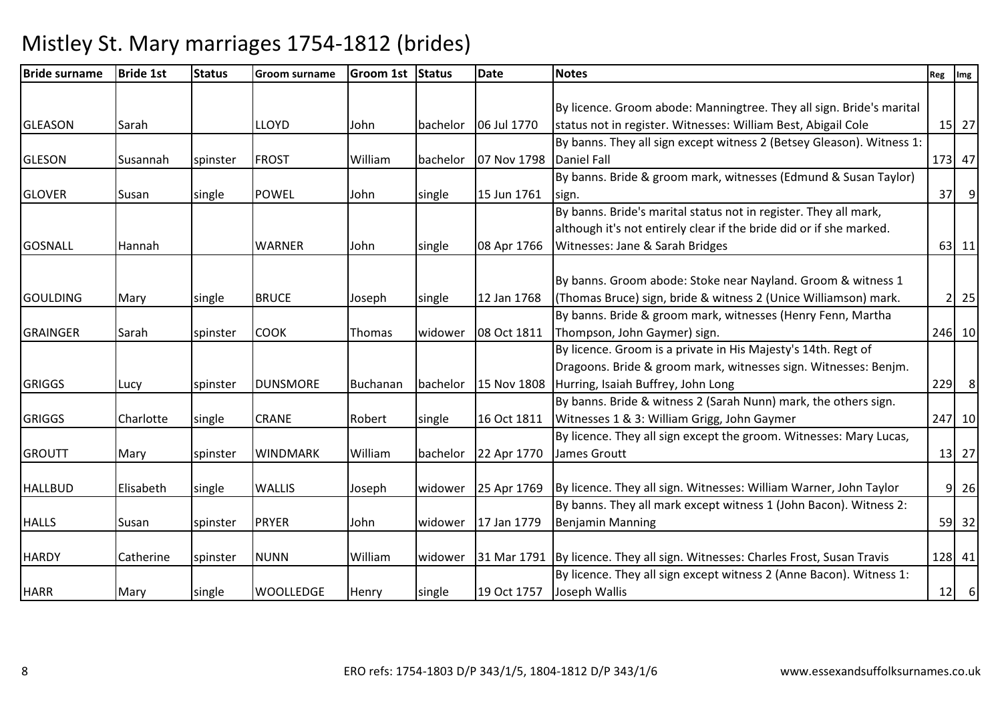| <b>Bride surname</b> | <b>Bride 1st</b> | <b>Status</b> | <b>Groom surname</b> | Groom 1st Status |          | <b>Date</b> | <b>Notes</b>                                                                  | Reg | Img         |
|----------------------|------------------|---------------|----------------------|------------------|----------|-------------|-------------------------------------------------------------------------------|-----|-------------|
|                      |                  |               |                      |                  |          |             |                                                                               |     |             |
|                      |                  |               |                      |                  |          |             | By licence. Groom abode: Manningtree. They all sign. Bride's marital          |     |             |
| <b>GLEASON</b>       | Sarah            |               | LLOYD                | John             | bachelor | 06 Jul 1770 | status not in register. Witnesses: William Best, Abigail Cole                 |     | 15 27       |
|                      |                  |               |                      |                  |          |             | By banns. They all sign except witness 2 (Betsey Gleason). Witness 1:         |     |             |
| <b>GLESON</b>        | Susannah         | spinster      | <b>FROST</b>         | William          | bachelor | 07 Nov 1798 | <b>Daniel Fall</b>                                                            |     | 173 47      |
|                      |                  |               |                      |                  |          |             | By banns. Bride & groom mark, witnesses (Edmund & Susan Taylor)               |     |             |
| <b>GLOVER</b>        | Susan            | single        | <b>POWEL</b>         | John             | single   | 15 Jun 1761 | sign.                                                                         |     | $37$ 9      |
|                      |                  |               |                      |                  |          |             | By banns. Bride's marital status not in register. They all mark,              |     |             |
|                      |                  |               |                      |                  |          |             | although it's not entirely clear if the bride did or if she marked.           |     |             |
| <b>GOSNALL</b>       | Hannah           |               | <b>WARNER</b>        | John             | single   | 08 Apr 1766 | Witnesses: Jane & Sarah Bridges                                               |     | $63$   11   |
|                      |                  |               |                      |                  |          |             |                                                                               |     |             |
|                      |                  |               |                      |                  |          |             | By banns. Groom abode: Stoke near Nayland. Groom & witness 1                  |     |             |
| <b>GOULDING</b>      | Mary             | single        | <b>BRUCE</b>         | Joseph           | single   | 12 Jan 1768 | (Thomas Bruce) sign, bride & witness 2 (Unice Williamson) mark.               |     | $2 \mid 25$ |
|                      |                  |               |                      |                  |          |             | By banns. Bride & groom mark, witnesses (Henry Fenn, Martha                   |     |             |
| <b>GRAINGER</b>      | Sarah            | spinster      | COOK                 | Thomas           | widower  | 08 Oct 1811 | Thompson, John Gaymer) sign.                                                  |     | 246 10      |
|                      |                  |               |                      |                  |          |             | By licence. Groom is a private in His Majesty's 14th. Regt of                 |     |             |
|                      |                  |               |                      |                  |          |             | Dragoons. Bride & groom mark, witnesses sign. Witnesses: Benjm.               |     |             |
| <b>GRIGGS</b>        | Lucy             | spinster      | <b>DUNSMORE</b>      | Buchanan         | bachelor | 15 Nov 1808 | Hurring, Isaiah Buffrey, John Long                                            |     | 229 8       |
|                      |                  |               |                      |                  |          |             | By banns. Bride & witness 2 (Sarah Nunn) mark, the others sign.               |     |             |
| <b>GRIGGS</b>        | Charlotte        | single        | <b>CRANE</b>         | Robert           | single   | 16 Oct 1811 | Witnesses 1 & 3: William Grigg, John Gaymer                                   |     | 247 10      |
|                      |                  |               |                      |                  |          |             | By licence. They all sign except the groom. Witnesses: Mary Lucas,            |     |             |
| <b>GROUTT</b>        | Mary             | spinster      | <b>WINDMARK</b>      | William          | bachelor | 22 Apr 1770 | James Groutt                                                                  |     | 13 27       |
|                      |                  |               |                      |                  |          |             |                                                                               |     |             |
| <b>HALLBUD</b>       | Elisabeth        | single        | <b>WALLIS</b>        | Joseph           | widower  | 25 Apr 1769 | By licence. They all sign. Witnesses: William Warner, John Taylor             |     | $9$ 26      |
|                      |                  |               |                      |                  |          |             | By banns. They all mark except witness 1 (John Bacon). Witness 2:             |     |             |
| <b>HALLS</b>         | Susan            | spinster      | <b>PRYER</b>         | John             | widower  | 17 Jan 1779 | <b>Benjamin Manning</b>                                                       |     | 59 32       |
|                      |                  |               |                      |                  |          |             |                                                                               |     |             |
| <b>HARDY</b>         | Catherine        | spinster      | <b>NUNN</b>          | William          | widower  |             | 31 Mar 1791 By licence. They all sign. Witnesses: Charles Frost, Susan Travis |     | 128 41      |
|                      |                  |               |                      |                  |          |             | By licence. They all sign except witness 2 (Anne Bacon). Witness 1:           |     |             |
| <b>HARR</b>          | Mary             | single        | <b>WOOLLEDGE</b>     | Henry            | single   | 19 Oct 1757 | Joseph Wallis                                                                 |     | $12$ 6      |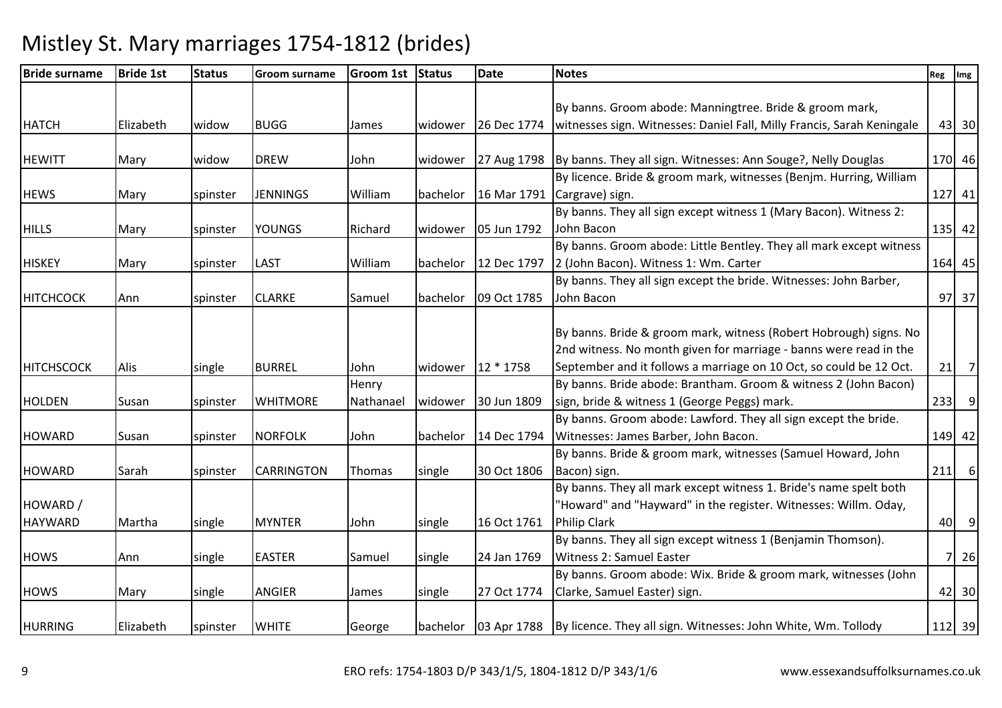| <b>Bride surname</b> | <b>Bride 1st</b> | <b>Status</b> | <b>Groom surname</b> | Groom 1st Status |          | <b>Date</b> | <b>Notes</b>                                                                           | Reg | Img            |
|----------------------|------------------|---------------|----------------------|------------------|----------|-------------|----------------------------------------------------------------------------------------|-----|----------------|
|                      |                  |               |                      |                  |          |             |                                                                                        |     |                |
|                      |                  |               |                      |                  |          |             | By banns. Groom abode: Manningtree. Bride & groom mark,                                |     |                |
| <b>HATCH</b>         | Elizabeth        | widow         | <b>BUGG</b>          | James            | widower  | 26 Dec 1774 | witnesses sign. Witnesses: Daniel Fall, Milly Francis, Sarah Keningale                 |     | 43 30          |
|                      |                  |               |                      |                  |          |             |                                                                                        |     |                |
| <b>HEWITT</b>        | Mary             | widow         | <b>DREW</b>          | John             | widower  |             | 27 Aug 1798   By banns. They all sign. Witnesses: Ann Souge?, Nelly Douglas            |     | 170 46         |
|                      |                  |               |                      |                  |          |             | By licence. Bride & groom mark, witnesses (Benjm. Hurring, William                     |     |                |
| <b>HEWS</b>          | Mary             | spinster      | <b>JENNINGS</b>      | William          | bachelor | 16 Mar 1791 | Cargrave) sign.                                                                        |     | 127 41         |
|                      |                  |               |                      |                  |          |             | By banns. They all sign except witness 1 (Mary Bacon). Witness 2:                      |     |                |
| <b>HILLS</b>         | Mary             | spinster      | <b>YOUNGS</b>        | Richard          | widower  | 05 Jun 1792 | John Bacon                                                                             |     | $135$ 42       |
|                      |                  |               |                      |                  |          |             | By banns. Groom abode: Little Bentley. They all mark except witness                    |     |                |
| <b>HISKEY</b>        | Mary             | spinster      | <b>LAST</b>          | William          | bachelor | 12 Dec 1797 | 2 (John Bacon). Witness 1: Wm. Carter                                                  |     | 164 45         |
|                      |                  |               |                      |                  |          |             | By banns. They all sign except the bride. Witnesses: John Barber,                      |     |                |
| <b>HITCHCOCK</b>     | Ann              | spinster      | <b>CLARKE</b>        | Samuel           | bachelor | 09 Oct 1785 | John Bacon                                                                             |     | 97 37          |
|                      |                  |               |                      |                  |          |             |                                                                                        |     |                |
|                      |                  |               |                      |                  |          |             | By banns. Bride & groom mark, witness (Robert Hobrough) signs. No                      |     |                |
|                      |                  |               |                      |                  |          |             | 2nd witness. No month given for marriage - banns were read in the                      |     |                |
| <b>HITCHSCOCK</b>    | Alis             | single        | <b>BURREL</b>        | John             | widower  | 12 * 1758   | September and it follows a marriage on 10 Oct, so could be 12 Oct.                     |     | $21$ 7         |
|                      |                  |               |                      | Henry            |          |             | By banns. Bride abode: Brantham. Groom & witness 2 (John Bacon)                        |     |                |
| <b>HOLDEN</b>        | Susan            | spinster      | <b>WHITMORE</b>      | Nathanael        | widower  | 30 Jun 1809 | sign, bride & witness 1 (George Peggs) mark.                                           | 233 | $\overline{9}$ |
|                      |                  |               |                      |                  |          |             | By banns. Groom abode: Lawford. They all sign except the bride.                        |     |                |
| <b>HOWARD</b>        | Susan            | spinster      | <b>NORFOLK</b>       | John             | bachelor | 14 Dec 1794 | Witnesses: James Barber, John Bacon.                                                   |     | 149 42         |
|                      |                  |               |                      |                  |          |             | By banns. Bride & groom mark, witnesses (Samuel Howard, John                           |     |                |
| <b>HOWARD</b>        | Sarah            | spinster      | <b>CARRINGTON</b>    | Thomas           | single   | 30 Oct 1806 | Bacon) sign.                                                                           |     | $211$ 6        |
|                      |                  |               |                      |                  |          |             | By banns. They all mark except witness 1. Bride's name spelt both                      |     |                |
| HOWARD /             |                  |               |                      |                  |          |             | "Howard" and "Hayward" in the register. Witnesses: Willm. Oday,                        |     |                |
| <b>HAYWARD</b>       | Martha           | single        | <b>MYNTER</b>        | John             | single   | 16 Oct 1761 | <b>Philip Clark</b>                                                                    |     | 40 9           |
|                      |                  |               |                      |                  |          |             | By banns. They all sign except witness 1 (Benjamin Thomson).                           |     |                |
| <b>HOWS</b>          | Ann              | single        | <b>EASTER</b>        | Samuel           | single   | 24 Jan 1769 | Witness 2: Samuel Easter                                                               |     | 7 26           |
|                      |                  |               |                      |                  |          |             | By banns. Groom abode: Wix. Bride & groom mark, witnesses (John                        |     |                |
| <b>HOWS</b>          | Mary             | single        | <b>ANGIER</b>        | James            | single   | 27 Oct 1774 | Clarke, Samuel Easter) sign.                                                           |     | 42 30          |
|                      |                  |               |                      |                  |          |             |                                                                                        |     |                |
| <b>HURRING</b>       | Elizabeth        | spinster      | <b>WHITE</b>         | George           |          |             | bachelor   03 Apr 1788   By licence. They all sign. Witnesses: John White, Wm. Tollody |     | 112 39         |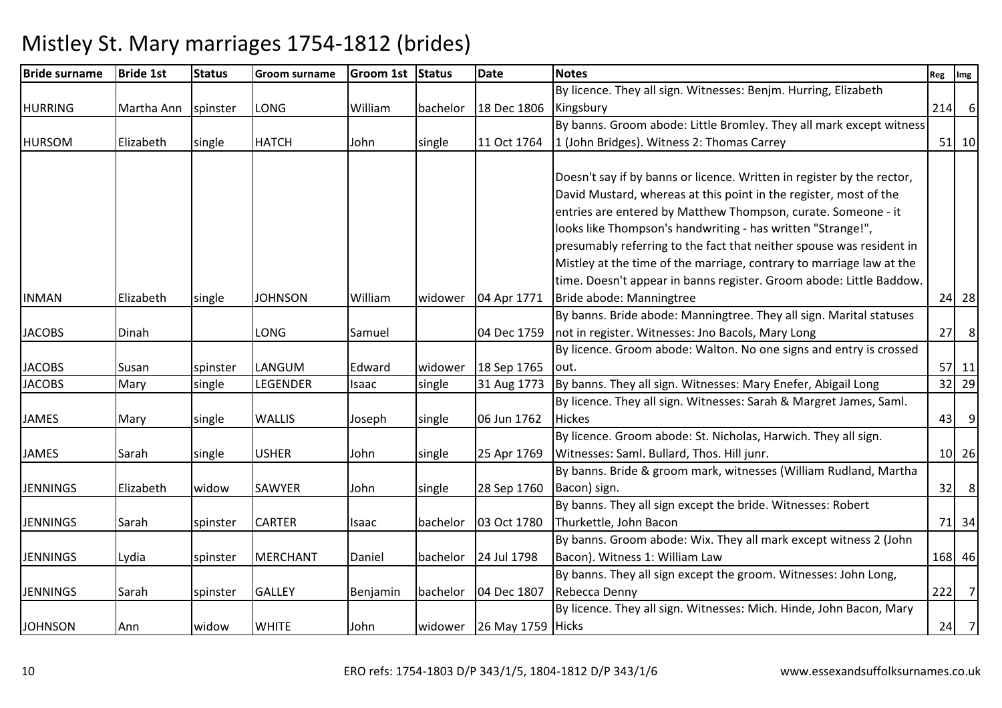| <b>Bride surname</b> | <b>Bride 1st</b> | <b>Status</b> | <b>Groom surname</b> | <b>Groom 1st</b> | <b>Status</b> | <b>Date</b>               | <b>Notes</b>                                                              | Reg Img |         |
|----------------------|------------------|---------------|----------------------|------------------|---------------|---------------------------|---------------------------------------------------------------------------|---------|---------|
|                      |                  |               |                      |                  |               |                           | By licence. They all sign. Witnesses: Benjm. Hurring, Elizabeth           |         |         |
| <b>HURRING</b>       | Martha Ann       | spinster      | LONG                 | William          | bachelor      | 18 Dec 1806               | Kingsbury                                                                 |         | $214$ 6 |
|                      |                  |               |                      |                  |               |                           | By banns. Groom abode: Little Bromley. They all mark except witness       |         |         |
| <b>HURSOM</b>        | Elizabeth        | single        | <b>HATCH</b>         | John             | single        |                           | 11 Oct 1764 1 (John Bridges). Witness 2: Thomas Carrey                    |         | $51$ 10 |
|                      |                  |               |                      |                  |               |                           |                                                                           |         |         |
|                      |                  |               |                      |                  |               |                           | Doesn't say if by banns or licence. Written in register by the rector,    |         |         |
|                      |                  |               |                      |                  |               |                           | David Mustard, whereas at this point in the register, most of the         |         |         |
|                      |                  |               |                      |                  |               |                           | entries are entered by Matthew Thompson, curate. Someone - it             |         |         |
|                      |                  |               |                      |                  |               |                           | looks like Thompson's handwriting - has written "Strange!",               |         |         |
|                      |                  |               |                      |                  |               |                           | presumably referring to the fact that neither spouse was resident in      |         |         |
|                      |                  |               |                      |                  |               |                           | Mistley at the time of the marriage, contrary to marriage law at the      |         |         |
|                      |                  |               |                      |                  |               |                           | time. Doesn't appear in banns register. Groom abode: Little Baddow.       |         |         |
| <b>INMAN</b>         | Elizabeth        | single        | <b>JOHNSON</b>       | William          | widower       | 04 Apr 1771               | Bride abode: Manningtree                                                  |         | 24 28   |
|                      |                  |               |                      |                  |               |                           | By banns. Bride abode: Manningtree. They all sign. Marital statuses       |         |         |
| <b>JACOBS</b>        | Dinah            |               | LONG                 | Samuel           |               | 04 Dec 1759               | not in register. Witnesses: Jno Bacols, Mary Long                         |         | $27$ 8  |
|                      |                  |               |                      |                  |               |                           | By licence. Groom abode: Walton. No one signs and entry is crossed        |         |         |
| <b>JACOBS</b>        | Susan            | spinster      | LANGUM               | Edward           | widower       | 18 Sep 1765               | lout.                                                                     |         | $57$ 11 |
| <b>JACOBS</b>        | Mary             | single        | LEGENDER             | Isaac            | single        |                           | 31 Aug 1773 By banns. They all sign. Witnesses: Mary Enefer, Abigail Long |         | 32 29   |
|                      |                  |               |                      |                  |               |                           | By licence. They all sign. Witnesses: Sarah & Margret James, Saml.        |         |         |
| <b>JAMES</b>         | Mary             | single        | WALLIS               | Joseph           | single        | 06 Jun 1762               | <b>Hickes</b>                                                             |         | $43$ 9  |
|                      |                  |               |                      |                  |               |                           | By licence. Groom abode: St. Nicholas, Harwich. They all sign.            |         |         |
| <b>JAMES</b>         | Sarah            | single        | <b>USHER</b>         | John             | single        | 25 Apr 1769               | Witnesses: Saml. Bullard, Thos. Hill junr.                                |         | 10 26   |
|                      |                  |               |                      |                  |               |                           | By banns. Bride & groom mark, witnesses (William Rudland, Martha          |         |         |
| <b>JENNINGS</b>      | Elizabeth        | widow         | SAWYER               | John             | single        | 28 Sep 1760               | Bacon) sign.                                                              |         | $32$ 8  |
|                      |                  |               |                      |                  |               |                           | By banns. They all sign except the bride. Witnesses: Robert               |         |         |
| <b>JENNINGS</b>      | Sarah            | spinster      | CARTER               | Isaac            | bachelor      | 03 Oct 1780               | Thurkettle, John Bacon                                                    |         | 71 34   |
|                      |                  |               |                      |                  |               |                           | By banns. Groom abode: Wix. They all mark except witness 2 (John          |         |         |
| <b>JENNINGS</b>      | Lydia            | spinster      | <b>MERCHANT</b>      | Daniel           | bachelor      | 24 Jul 1798               | Bacon). Witness 1: William Law                                            |         | 168 46  |
|                      |                  |               |                      |                  |               |                           | By banns. They all sign except the groom. Witnesses: John Long,           |         |         |
| <b>JENNINGS</b>      | Sarah            | spinster      | <b>GALLEY</b>        | Benjamin         | bachelor      | 04 Dec 1807               | Rebecca Denny                                                             |         | $222$ 7 |
|                      |                  |               |                      |                  |               |                           | By licence. They all sign. Witnesses: Mich. Hinde, John Bacon, Mary       |         |         |
| <b>JOHNSON</b>       | Ann              | widow         | <b>WHITE</b>         | John             |               | widower 26 May 1759 Hicks |                                                                           |         | $24$ 7  |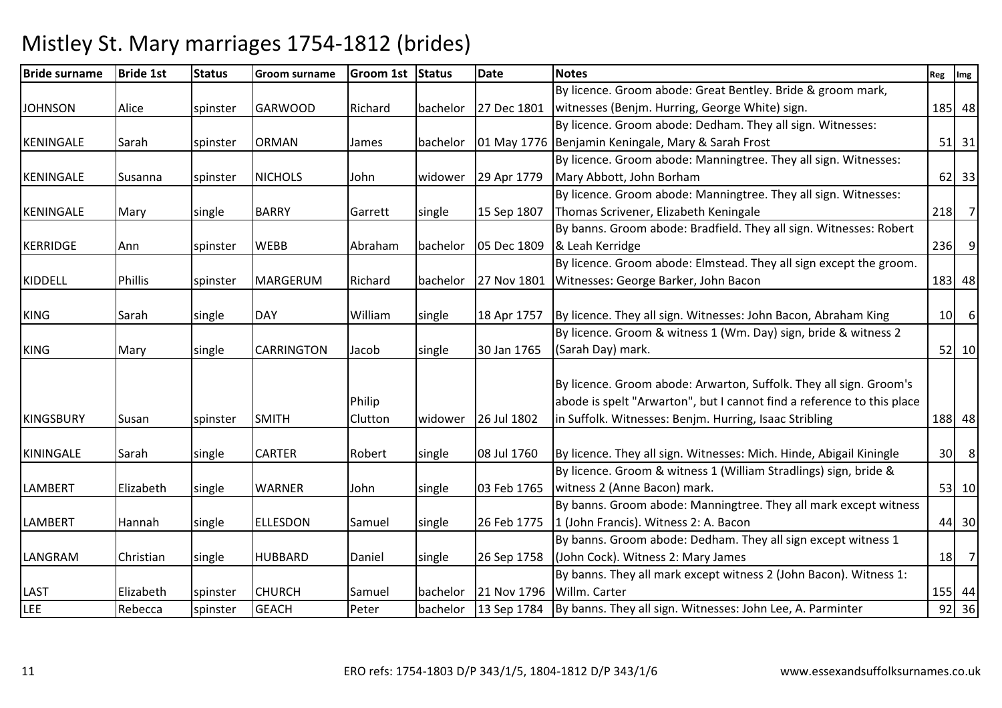Bride surnamee Bride 1st Status Groom surname Groom 1st Status Date Notes Reg Ing Reg Img Reg Img JOHNSON Alice spinster GARWOOD Richard bachelor 27 Dec 1801By licence. Groom abode: Great Bentley. Bride & groom mark, witnesses (Benjm. Hurring, George White) sign. 185 48KENINGALE | Sarah | spinster | ORMAN | James | bachelor | 01 May 1776 | Benjamin Keningale, Mary & Sarah Frost By licence. Groom abode: Dedham. They all sign. Witnesses: <sup>51</sup> <sup>31</sup>KENINGALE Susanna Spinster NICHOLS John Widower 29 Apr 1779 By licence. Groom abode: Manningtree. They all sign. Witnesses: Mary Abbott, John Borham <sup>62</sup> <sup>33</sup> By licence. Groom abode: Manningtree. They all sign. Witnesses: KENINGALE Mary single BARRY Garrett single 15 Sep 1807 Thomas Scrivener, Elizabeth Keningalee 218 7 KERRIDGE Ann Spinster WEBB Abraham bachelor 05 Dec 1809 By banns. Groom abode: Bradfield. They all sign. Witnesses: Robert & Leah Kerridgee 236 9 KIDDELL Phillis spinster MARGERUM Richard bachelor 27 Nov 1801By licence. Groom abode: Elmstead. They all sign except the groom. Witnesses: George Barker, John Bacon <sup>183</sup> <sup>48</sup>KING Sarah Single DAY Nilliam Single 18 Apr 1757 By licence. They all sign. Witnesses: John Bacon, Abraham King <sup>10</sup> <sup>6</sup> KING Mary single CARRINGTON Jacob single 30 Jan 1765By licence. Groom & witness 1 (Wm. Day) sign, bride & witness 2 (Sarah Day) mark. 52 10KINGSBURY ISusan Ispinster ISMITH Philip Cluttonwidower 126 Jul 1802 By licence. Groom abode: Arwarton, Suffolk. They all sign. Groom's abode is spelt "Arwarton", but I cannot find a reference to this place in Suffolk. Witnesses: Benjm. Hurring, Isaac Stribling <sup>188</sup> <sup>48</sup>KININGALE Sarah single CARTER Robert single 08 Jul 1760 By licence. They all sign. Witnesses: Mich. Hinde, Abigail Kiningle  $\begin{array}{|c|c|} \hline \end{array}$  30 8 LAMBERT Elizabeth single WARNER John single 03 Feb 1765By licence. Groom & witness 1 (William Stradlings) sign, bride & witness 2 (Anne Bacon) mark. $53$  10 LAMBERT | Hannah | single | ELLESDON | Samuel | single | 26 Feb 1775 By banns. Groom abode: Manningtree. They all mark except witness 1 (John Francis). Witness 2: A. Baconn 44 30 LANGRAM Christian single HUBBARD Daniel single 26 Sep 1758 By banns. Groom abode: Dedham. They all sign except witness 1 (John Cock). Witness 2: Mary Jamess and  $\begin{array}{|c|c|c|c|c|}\n\hline\n18 & 7 \\
\hline\n\end{array}$ LAST Elizabeth spinster CHURCH Samuel bachelor 21 Nov 179613 Sep 1784 By banns. They all mark except witness 2 (John Bacon). Witness 1: Willm. Carterr 155 44 36 LEERebecca Spinster GEACH Peter | bachelor | 13 Sep 1784 | By banns. They all sign. Witnesses: John Lee, A. Parminter | 92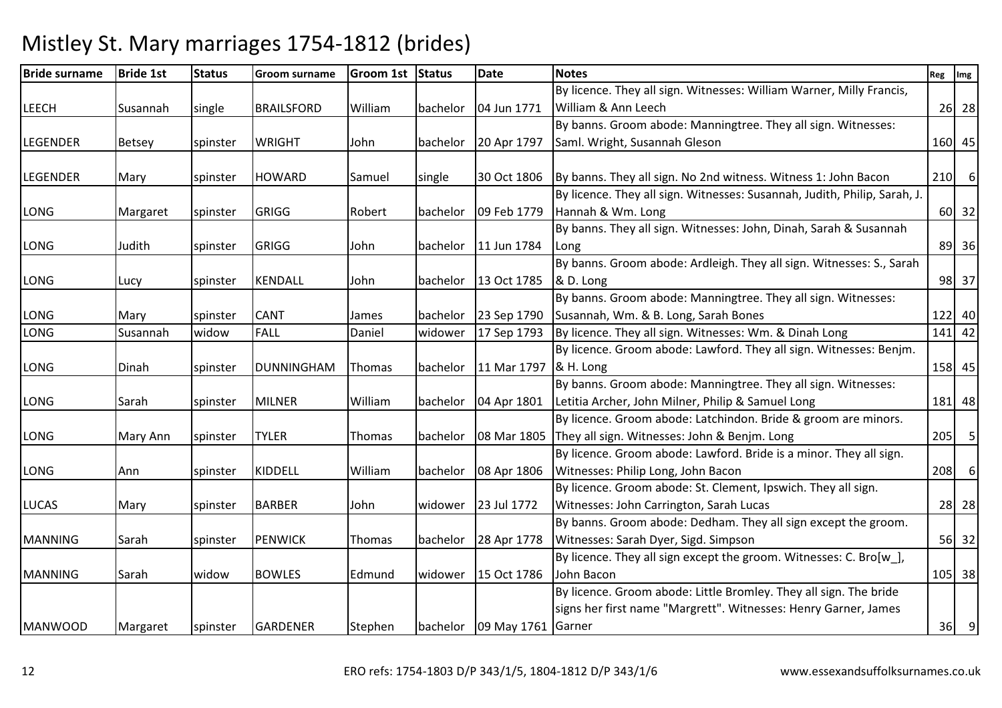| <b>Bride surname</b> | <b>Bride 1st</b> | <b>Status</b> | Groom surname     | Groom 1st Status |          | <b>Date</b>                   | <b>Notes</b>                                                              | Reg Img |          |
|----------------------|------------------|---------------|-------------------|------------------|----------|-------------------------------|---------------------------------------------------------------------------|---------|----------|
|                      |                  |               |                   |                  |          |                               | By licence. They all sign. Witnesses: William Warner, Milly Francis,      |         |          |
| <b>LEECH</b>         | Susannah         | single        | <b>BRAILSFORD</b> | William          | bachelor | 04 Jun 1771                   | William & Ann Leech                                                       |         | 26 28    |
|                      |                  |               |                   |                  |          |                               | By banns. Groom abode: Manningtree. They all sign. Witnesses:             |         |          |
| <b>LEGENDER</b>      | <b>Betsey</b>    | spinster      | <b>WRIGHT</b>     | John             | bachelor | 20 Apr 1797                   | Saml. Wright, Susannah Gleson                                             |         | 160 45   |
|                      |                  |               |                   |                  |          |                               |                                                                           |         |          |
| <b>LEGENDER</b>      | Mary             | spinster      | <b>HOWARD</b>     | Samuel           | single   | 30 Oct 1806                   | By banns. They all sign. No 2nd witness. Witness 1: John Bacon            |         | $210$ 6  |
|                      |                  |               |                   |                  |          |                               | By licence. They all sign. Witnesses: Susannah, Judith, Philip, Sarah, J. |         |          |
| LONG                 | Margaret         | spinster      | <b>GRIGG</b>      | Robert           | bachelor | 09 Feb 1779                   | Hannah & Wm. Long                                                         |         | 60 32    |
|                      |                  |               |                   |                  |          |                               | By banns. They all sign. Witnesses: John, Dinah, Sarah & Susannah         |         |          |
| LONG                 | Judith           | spinster      | GRIGG             | John             |          | bachelor 11 Jun 1784          | Long                                                                      |         | 89 36    |
|                      |                  |               |                   |                  |          |                               | By banns. Groom abode: Ardleigh. They all sign. Witnesses: S., Sarah      |         |          |
| LONG                 | Lucy             | spinster      | KENDALL           | John             |          | bachelor 13 Oct 1785          | & D. Long                                                                 |         | 98 37    |
|                      |                  |               |                   |                  |          |                               | By banns. Groom abode: Manningtree. They all sign. Witnesses:             |         |          |
| LONG                 | Mary             | spinster      | <b>CANT</b>       | James            |          | bachelor 23 Sep 1790          | Susannah, Wm. & B. Long, Sarah Bones                                      |         | 122 40   |
| LONG                 | Susannah         | widow         | <b>FALL</b>       | Daniel           | widower  | 17 Sep 1793                   | By licence. They all sign. Witnesses: Wm. & Dinah Long                    |         | $141$ 42 |
|                      |                  |               |                   |                  |          |                               | By licence. Groom abode: Lawford. They all sign. Witnesses: Benjm.        |         |          |
| LONG                 | Dinah            | spinster      | <b>DUNNINGHAM</b> | Thomas           |          | bachelor 11 Mar 1797          | & H. Long                                                                 |         | 158 45   |
|                      |                  |               |                   |                  |          |                               | By banns. Groom abode: Manningtree. They all sign. Witnesses:             |         |          |
| LONG                 | Sarah            | spinster      | <b>MILNER</b>     | William          | bachelor | 04 Apr 1801                   | Letitia Archer, John Milner, Philip & Samuel Long                         |         | 181 48   |
|                      |                  |               |                   |                  |          |                               | By licence. Groom abode: Latchindon. Bride & groom are minors.            |         |          |
| LONG                 | Mary Ann         | spinster      | <b>TYLER</b>      | Thomas           | bachelor | 08 Mar 1805                   | They all sign. Witnesses: John & Benjm. Long                              |         | $205$ 5  |
|                      |                  |               |                   |                  |          |                               | By licence. Groom abode: Lawford. Bride is a minor. They all sign.        |         |          |
| <b>LONG</b>          | Ann              | spinster      | KIDDELL           | William          | bachelor | 08 Apr 1806                   | Witnesses: Philip Long, John Bacon                                        | 208     | 6        |
|                      |                  |               |                   |                  |          |                               | By licence. Groom abode: St. Clement, Ipswich. They all sign.             |         |          |
| <b>LUCAS</b>         | Mary             | spinster      | <b>BARBER</b>     | John             | widower  | 23 Jul 1772                   | Witnesses: John Carrington, Sarah Lucas                                   |         | 28 28    |
|                      |                  |               |                   |                  |          |                               | By banns. Groom abode: Dedham. They all sign except the groom.            |         |          |
| <b>MANNING</b>       | Sarah            | spinster      | <b>PENWICK</b>    | Thomas           | bachelor | 28 Apr 1778                   | Witnesses: Sarah Dyer, Sigd. Simpson                                      |         | 56 32    |
|                      |                  |               |                   |                  |          |                               | By licence. They all sign except the groom. Witnesses: C. Bro[w_],        |         |          |
| <b>MANNING</b>       | Sarah            | widow         | <b>BOWLES</b>     | Edmund           | widower  | 15 Oct 1786                   | John Bacon                                                                |         | 105 38   |
|                      |                  |               |                   |                  |          |                               | By licence. Groom abode: Little Bromley. They all sign. The bride         |         |          |
|                      |                  |               |                   |                  |          |                               | signs her first name "Margrett". Witnesses: Henry Garner, James           |         |          |
| <b>MANWOOD</b>       | Margaret         | spinster      | <b>GARDENER</b>   | Stephen          |          | bachelor   09 May 1761 Garner |                                                                           |         | $36$ 9   |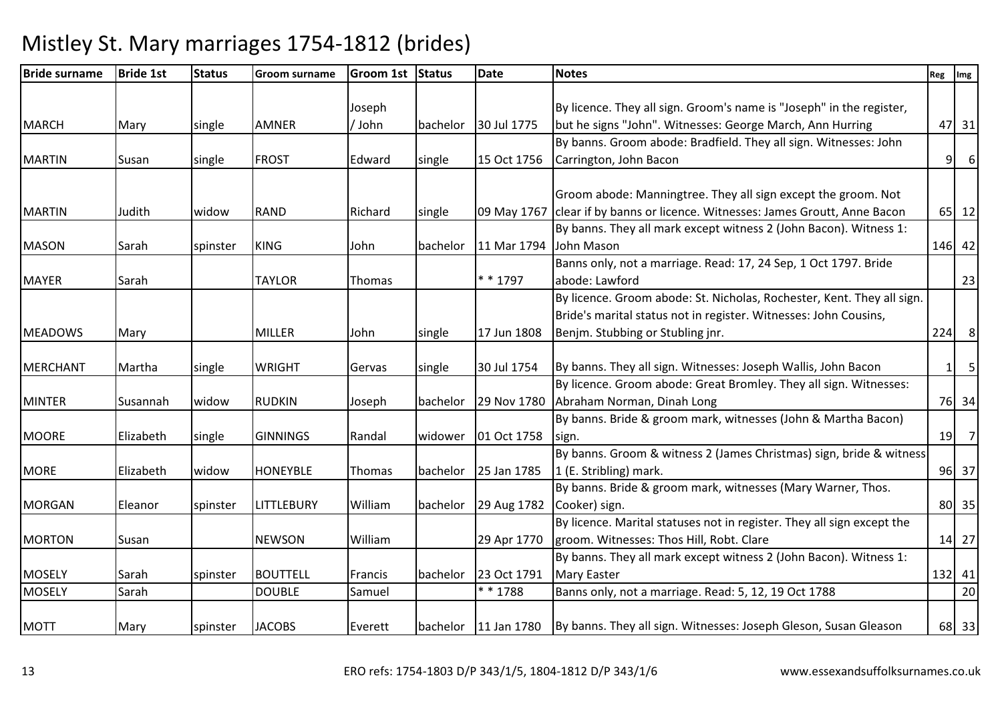| <b>Bride surname</b> | <b>Bride 1st</b> | <b>Status</b> | Groom surname     | Groom 1st Status |          | <b>Date</b> | <b>Notes</b>                                                                              | Reg | Img         |
|----------------------|------------------|---------------|-------------------|------------------|----------|-------------|-------------------------------------------------------------------------------------------|-----|-------------|
|                      |                  |               |                   |                  |          |             |                                                                                           |     |             |
|                      |                  |               |                   | Joseph           |          |             | By licence. They all sign. Groom's name is "Joseph" in the register,                      |     |             |
| <b>MARCH</b>         | Mary             | single        | <b>AMNER</b>      | / John           | bachelor | 30 Jul 1775 | but he signs "John". Witnesses: George March, Ann Hurring                                 |     | 47 31       |
|                      |                  |               |                   |                  |          |             | By banns. Groom abode: Bradfield. They all sign. Witnesses: John                          |     |             |
| <b>MARTIN</b>        | Susan            | single        | <b>FROST</b>      | Edward           | single   | 15 Oct 1756 | Carrington, John Bacon                                                                    | 9   | 6           |
|                      |                  |               |                   |                  |          |             |                                                                                           |     |             |
|                      |                  |               |                   |                  |          |             | Groom abode: Manningtree. They all sign except the groom. Not                             |     |             |
| <b>MARTIN</b>        | Judith           | widow         | <b>RAND</b>       | Richard          | single   | 09 May 1767 | clear if by banns or licence. Witnesses: James Groutt, Anne Bacon                         |     | 65 12       |
|                      |                  |               |                   |                  |          |             | By banns. They all mark except witness 2 (John Bacon). Witness 1:                         |     |             |
| <b>MASON</b>         | Sarah            | spinster      | <b>KING</b>       | John             | bachelor | 11 Mar 1794 | John Mason                                                                                |     | 146 42      |
|                      |                  |               |                   |                  |          |             | Banns only, not a marriage. Read: 17, 24 Sep, 1 Oct 1797. Bride                           |     |             |
| <b>MAYER</b>         | Sarah            |               | <b>TAYLOR</b>     | Thomas           |          | $* * 1797$  | abode: Lawford                                                                            |     | 23          |
|                      |                  |               |                   |                  |          |             | By licence. Groom abode: St. Nicholas, Rochester, Kent. They all sign.                    |     |             |
|                      |                  |               |                   |                  |          |             | Bride's marital status not in register. Witnesses: John Cousins,                          |     |             |
| <b>MEADOWS</b>       | Mary             |               | <b>MILLER</b>     | John             | single   | 17 Jun 1808 | Benjm. Stubbing or Stubling jnr.                                                          |     | $224$ 8     |
|                      |                  |               |                   |                  |          |             |                                                                                           |     |             |
| <b>MERCHANT</b>      | Martha           | single        | <b>WRIGHT</b>     | Gervas           | single   | 30 Jul 1754 | By banns. They all sign. Witnesses: Joseph Wallis, John Bacon                             |     | $1 \quad 5$ |
|                      |                  |               |                   |                  |          |             | By licence. Groom abode: Great Bromley. They all sign. Witnesses:                         |     |             |
| <b>MINTER</b>        | Susannah         | widow         | <b>RUDKIN</b>     | Joseph           | bachelor | 29 Nov 1780 | Abraham Norman, Dinah Long                                                                |     | 76 34       |
|                      |                  |               |                   |                  |          |             | By banns. Bride & groom mark, witnesses (John & Martha Bacon)                             |     |             |
| <b>MOORE</b>         | Elizabeth        | single        | <b>GINNINGS</b>   | Randal           | widower  | 01 Oct 1758 | sign.                                                                                     |     | $19$ 7      |
|                      |                  |               |                   |                  |          |             | By banns. Groom & witness 2 (James Christmas) sign, bride & witness                       |     |             |
| <b>MORE</b>          | Elizabeth        | widow         | <b>HONEYBLE</b>   | Thomas           | bachelor | 25 Jan 1785 | 1 (E. Stribling) mark.                                                                    |     | 96 37       |
|                      |                  |               |                   |                  |          |             | By banns. Bride & groom mark, witnesses (Mary Warner, Thos.                               |     |             |
| <b>MORGAN</b>        | Eleanor          | spinster      | <b>LITTLEBURY</b> | William          | bachelor | 29 Aug 1782 | Cooker) sign.                                                                             |     | 80 35       |
|                      |                  |               |                   |                  |          |             | By licence. Marital statuses not in register. They all sign except the                    |     |             |
| <b>MORTON</b>        | Susan            |               | <b>NEWSON</b>     | William          |          | 29 Apr 1770 | groom. Witnesses: Thos Hill, Robt. Clare                                                  |     | 14 27       |
|                      |                  |               |                   |                  |          |             | By banns. They all mark except witness 2 (John Bacon). Witness 1:                         |     |             |
| <b>MOSELY</b>        | Sarah            | spinster      | <b>BOUTTELL</b>   | Francis          | bachelor | 23 Oct 1791 | <b>Mary Easter</b>                                                                        |     | 132 41      |
| <b>MOSELY</b>        | Sarah            |               | <b>DOUBLE</b>     | Samuel           |          | ** 1788     | Banns only, not a marriage. Read: 5, 12, 19 Oct 1788                                      |     | 20          |
|                      |                  |               |                   |                  |          |             |                                                                                           |     |             |
| <b>MOTT</b>          | Mary             | spinster      | <b>JACOBS</b>     | Everett          |          |             | bachelor   11 Jan 1780   By banns. They all sign. Witnesses: Joseph Gleson, Susan Gleason |     | 68 33       |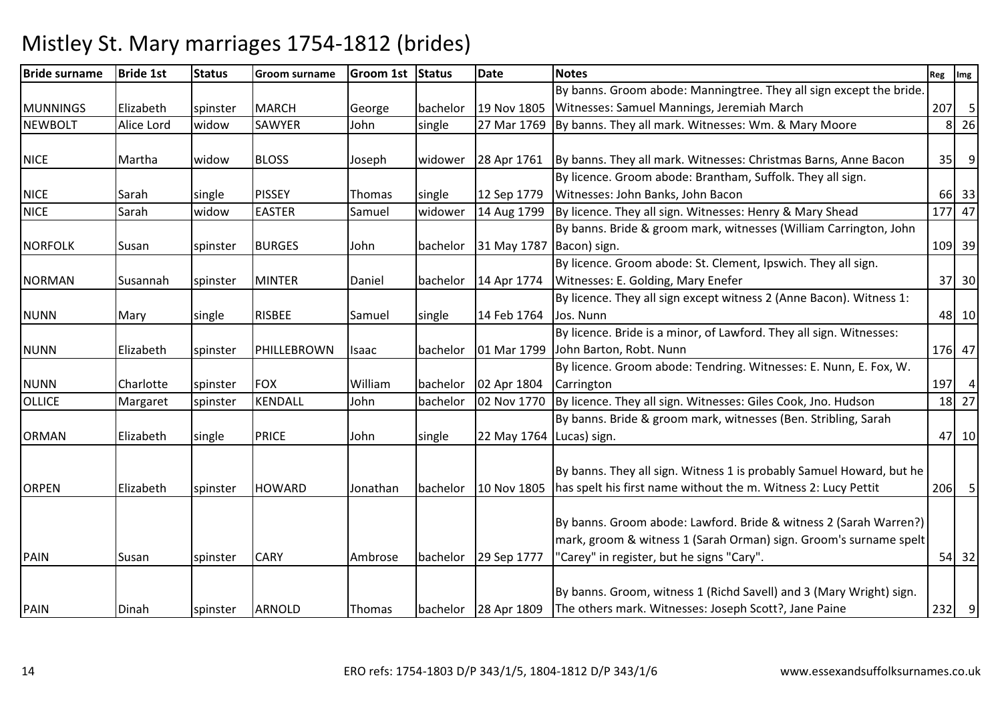#### Bride surnamee Bride 1st Status Groom surname Groom 1st Status Date Notes Reg Ing Reg Img Reg Img MUNNINGS Elizabeth spinster MARCH George bachelor 19 Nov 180527 Mar 1769 By banns. Groom abode: Manningtree. They all sign except the bride. Witnesses: Samuel Mannings, Jeremiah March 207 | 5  $8 \overline{\smash)26}$ NEWBOLT Alice Lord widowSAWYER John single 27 Mar 1769 By banns. They all mark. Witnesses: Wm. & Mary Moore 8NICE Martha widow BLOSS Joseph widower 28 Apr 1761 $\vert$ By banns. They all mark. Witnesses: Christmas Barns, Anne Bacon  $\vert$  35 9 NICE Sarah Sarah Isingle PISSEY Thomas Isingle 12 Sep 1779 14 Aug 1799 By licence. Groom abode: Brantham, Suffolk. They all sign. Witnesses: John Banks, John Baconn 66 33 47 NICE Sarah widowEASTER Samuel widower  $\begin{bmatrix} 14 \text{ Aug } 1799 \end{bmatrix}$  By licence. They all sign. Witnesses: Henry & Mary Shead  $\begin{bmatrix} 177 \end{bmatrix}$ NORFOLK Susan spinster BURGES John bachelor 31 May 1787Bacon) sign.By banns. Bride & groom mark, witnesses (William Carrington, John . [109] 39 NORMAN Susannah Spinster MINTER | Daniel | bachelor | 14 Apr 1774 By licence. Groom abode: St. Clement, Ipswich. They all sign. Witnesses: E. Golding, Mary Enefer <sup>37</sup> <sup>30</sup>NUNN Mary single RISBEE Samuel single 14 Feb 1764By licence. They all sign except witness 2 (Anne Bacon). Witness 1: Jos. Nunnn 10 | 48 | 10 NUNN Elizabeth spinster PHILLEBROWN Isaac bachelor 01 Mar 1799By licence. Bride is a minor, of Lawford. They all sign. Witnesses: John Barton, Robt. Nunnn 176 47 NUNN Charlotte spinster FOX William bachelor 02 Apr 180402 Nov 1770 By licence. Groom abode: Tendring. Witnesses: E. Nunn, E. Fox, W. Carringtonn 197 4  $27$ OLLICEMargaret Spinster KENDALL John bachelor  $\vert$  02 Nov 1770  $\vert$  By licence. They all sign. Witnesses: Giles Cook, Jno. Hudson  $\vert$  18 ORMAN Elizabeth single PRICE John single 22 May 1764Lucas) sign.By banns. Bride & groom mark, witnesses (Ben. Stribling, Sarah 47 10ORPEN Elizabeth spinster HOWARD Jonathan bachelor 10 Nov 1805By banns. They all sign. Witness 1 is probably Samuel Howard, but he has spelt his first name without the m. Witness 2: Lucy Pettit <sup>206</sup> <sup>5</sup>PAIN Susan Spinster CARY Ambrose bachelor 29 Sep 1777 By banns. Groom abode: Lawford. Bride & witness 2 (Sarah Warren?) mark, groom & witness 1 (Sarah Orman) sign. Groom's surname spelt "Carey" in register, but he signs "Cary". 54 32PAIN Dinah spinster ARNOLD Thomas bachelor 28 Apr 1809By banns. Groom, witness 1 (Richd Savell) and 3 (Mary Wright) sign. The others mark. Witnesses: Joseph Scott?, Jane Paine232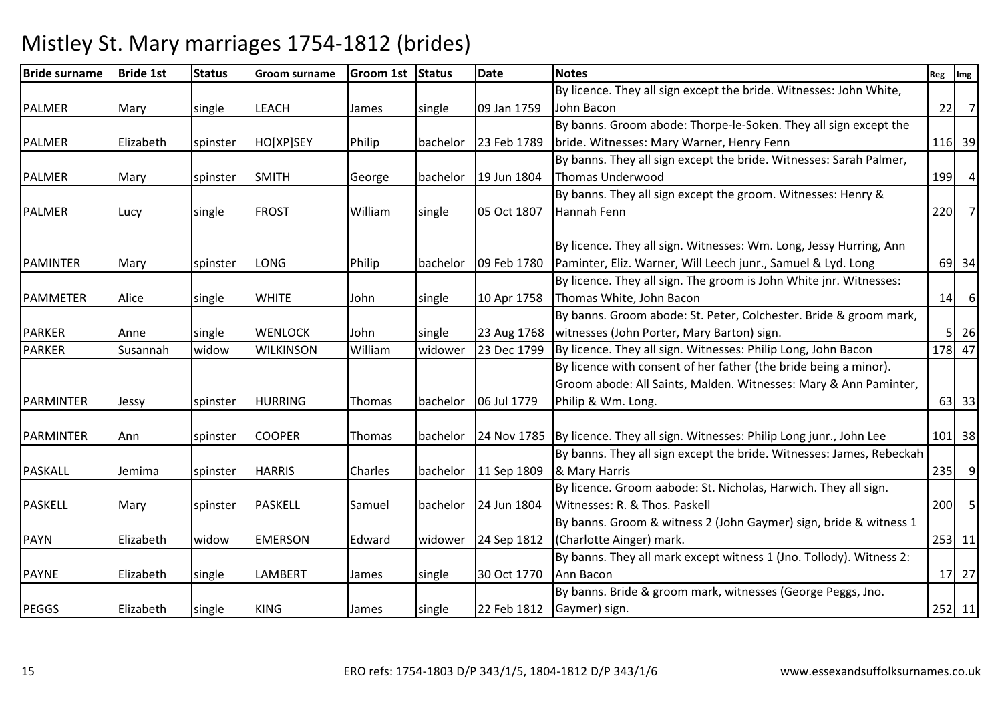| <b>Bride surname</b> | <b>Bride 1st</b> | <b>Status</b> | Groom surname    | Groom 1st Status |          | <b>Date</b>            | <b>Notes</b>                                                                  | Reg | Img                        |
|----------------------|------------------|---------------|------------------|------------------|----------|------------------------|-------------------------------------------------------------------------------|-----|----------------------------|
|                      |                  |               |                  |                  |          |                        | By licence. They all sign except the bride. Witnesses: John White,            |     |                            |
| <b>PALMER</b>        | Mary             | single        | LEACH            | James            | single   | 09 Jan 1759            | John Bacon                                                                    |     | $22$ 7                     |
|                      |                  |               |                  |                  |          |                        | By banns. Groom abode: Thorpe-le-Soken. They all sign except the              |     |                            |
| PALMER               | Elizabeth        | spinster      | HO[XP]SEY        | Philip           | bachelor | 23 Feb 1789            | bride. Witnesses: Mary Warner, Henry Fenn                                     |     | 116 39                     |
|                      |                  |               |                  |                  |          |                        | By banns. They all sign except the bride. Witnesses: Sarah Palmer,            |     |                            |
| <b>PALMER</b>        | Mary             | spinster      | <b>SMITH</b>     | George           | bachelor | 19 Jun 1804            | <b>Thomas Underwood</b>                                                       |     | 199 4                      |
|                      |                  |               |                  |                  |          |                        | By banns. They all sign except the groom. Witnesses: Henry &                  |     |                            |
| <b>PALMER</b>        | Lucy             | single        | <b>FROST</b>     | William          | single   | 05 Oct 1807            | Hannah Fenn                                                                   |     | 220 7                      |
|                      |                  |               |                  |                  |          |                        |                                                                               |     |                            |
|                      |                  |               |                  |                  |          |                        | By licence. They all sign. Witnesses: Wm. Long, Jessy Hurring, Ann            |     |                            |
| <b>PAMINTER</b>      | Mary             | spinster      | LONG             | Philip           | bachelor | 09 Feb 1780            | Paminter, Eliz. Warner, Will Leech junr., Samuel & Lyd. Long                  |     | 69 34                      |
|                      |                  |               |                  |                  |          |                        | By licence. They all sign. The groom is John White jnr. Witnesses:            |     |                            |
| PAMMETER             | Alice            | single        | <b>WHITE</b>     | John             | single   | 10 Apr 1758            | Thomas White, John Bacon                                                      |     | $14$ 6                     |
|                      |                  |               |                  |                  |          |                        | By banns. Groom abode: St. Peter, Colchester. Bride & groom mark,             |     |                            |
| <b>PARKER</b>        | Anne             | single        | <b>WENLOCK</b>   | John             | single   | 23 Aug 1768            | witnesses (John Porter, Mary Barton) sign.                                    |     | $5 \overline{\smash{)}26}$ |
| <b>PARKER</b>        | Susannah         | widow         | <b>WILKINSON</b> | William          | widower  | 23 Dec 1799            | By licence. They all sign. Witnesses: Philip Long, John Bacon                 |     | 178 47                     |
|                      |                  |               |                  |                  |          |                        | By licence with consent of her father (the bride being a minor).              |     |                            |
|                      |                  |               |                  |                  |          |                        | Groom abode: All Saints, Malden. Witnesses: Mary & Ann Paminter,              |     |                            |
| PARMINTER            | Jessy            | spinster      | <b>HURRING</b>   | Thomas           | bachelor | 06 Jul 1779            | Philip & Wm. Long.                                                            |     | 63 33                      |
|                      |                  |               |                  |                  |          |                        |                                                                               |     |                            |
| PARMINTER            | l Ann            | spinster      | <b>COOPER</b>    | Thomas           | bachelor |                        | 24 Nov 1785 By licence. They all sign. Witnesses: Philip Long junr., John Lee |     | $101$ 38                   |
|                      |                  |               |                  |                  |          |                        | By banns. They all sign except the bride. Witnesses: James, Rebeckah          |     |                            |
| <b>PASKALL</b>       | Jemima           | spinster      | <b>HARRIS</b>    | Charles          |          | bachelor   11 Sep 1809 | & Mary Harris                                                                 |     | $235$ 9                    |
|                      |                  |               |                  |                  |          |                        | By licence. Groom aabode: St. Nicholas, Harwich. They all sign.               |     |                            |
| <b>PASKELL</b>       | Mary             | spinster      | <b>PASKELL</b>   | Samuel           |          | bachelor   24 Jun 1804 | Witnesses: R. & Thos. Paskell                                                 |     | $200$ 5                    |
|                      |                  |               |                  |                  |          |                        | By banns. Groom & witness 2 (John Gaymer) sign, bride & witness 1             |     |                            |
| <b>PAYN</b>          | Elizabeth        | widow         | <b>EMERSON</b>   | Edward           | widower  | 24 Sep 1812            | (Charlotte Ainger) mark.                                                      |     | 253 11                     |
|                      |                  |               |                  |                  |          |                        | By banns. They all mark except witness 1 (Jno. Tollody). Witness 2:           |     |                            |
| <b>PAYNE</b>         | Elizabeth        | single        | LAMBERT          | James            | single   | 30 Oct 1770            | Ann Bacon                                                                     |     | $17 \mid 27$               |
|                      |                  |               |                  |                  |          |                        | By banns. Bride & groom mark, witnesses (George Peggs, Jno.                   |     |                            |
| <b>PEGGS</b>         | Elizabeth        | single        | <b>KING</b>      | James            | single   | 22 Feb 1812            | Gaymer) sign.                                                                 |     | 252 11                     |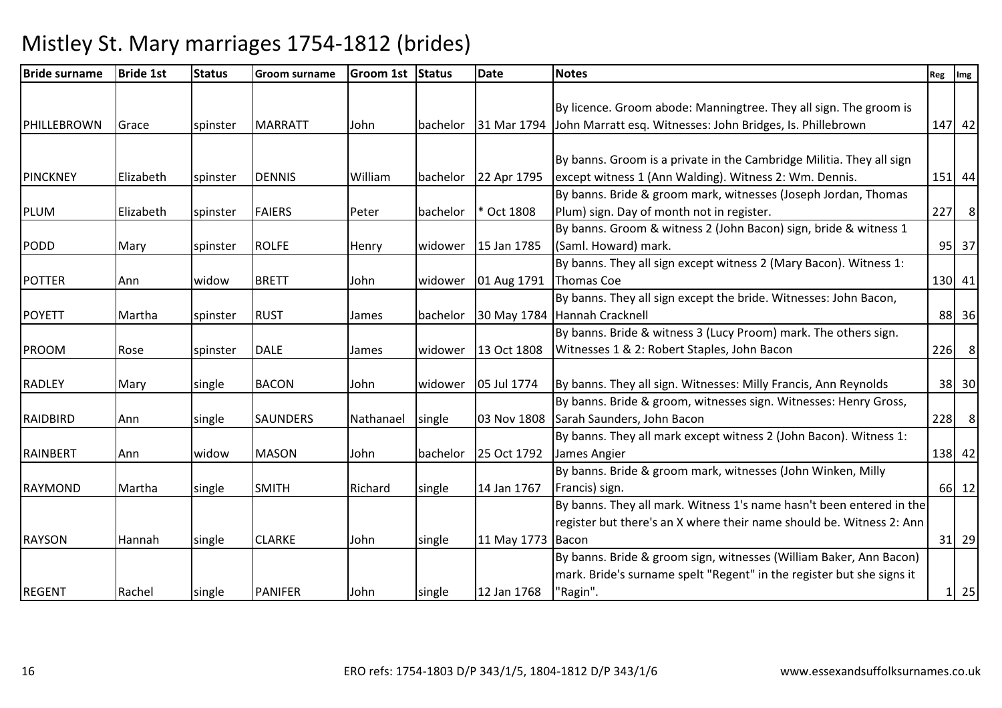| <b>Bride surname</b> | <b>Bride 1st</b> | <b>Status</b> | <b>Groom surname</b> | Groom 1st Status |                 | <b>Date</b>       | <b>Notes</b>                                                           | Reg Img           |
|----------------------|------------------|---------------|----------------------|------------------|-----------------|-------------------|------------------------------------------------------------------------|-------------------|
|                      |                  |               |                      |                  |                 |                   |                                                                        |                   |
|                      |                  |               |                      |                  |                 |                   | By licence. Groom abode: Manningtree. They all sign. The groom is      |                   |
| PHILLEBROWN          | Grace            | spinster      | <b>MARRATT</b>       | John             | <b>bachelor</b> |                   | 31 Mar 1794 John Marratt esq. Witnesses: John Bridges, Is. Phillebrown | 147 42            |
|                      |                  |               |                      |                  |                 |                   |                                                                        |                   |
|                      |                  |               |                      |                  |                 |                   | By banns. Groom is a private in the Cambridge Militia. They all sign   |                   |
| PINCKNEY             | Elizabeth        | spinster      | <b>DENNIS</b>        | William          | bachelor        | 22 Apr 1795       | except witness 1 (Ann Walding). Witness 2: Wm. Dennis.                 | 151 44            |
|                      |                  |               |                      |                  |                 |                   | By banns. Bride & groom mark, witnesses (Joseph Jordan, Thomas         |                   |
| <b>PLUM</b>          | Elizabeth        | spinster      | <b>FAIERS</b>        | Peter            | bachelor        | * Oct 1808        | Plum) sign. Day of month not in register.                              | $227$ 8           |
|                      |                  |               |                      |                  |                 |                   | By banns. Groom & witness 2 (John Bacon) sign, bride & witness 1       |                   |
| <b>PODD</b>          | Mary             | spinster      | <b>ROLFE</b>         | Henry            | widower         | 15 Jan 1785       | (Saml. Howard) mark.                                                   | 95 37             |
|                      |                  |               |                      |                  |                 |                   | By banns. They all sign except witness 2 (Mary Bacon). Witness 1:      |                   |
| <b>POTTER</b>        | Ann              | widow         | <b>BRETT</b>         | John             | widower         | 01 Aug 1791       | Thomas Coe                                                             | 130 41            |
|                      |                  |               |                      |                  |                 |                   | By banns. They all sign except the bride. Witnesses: John Bacon,       |                   |
| <b>POYETT</b>        | Martha           | spinster      | <b>RUST</b>          | James            | bachelor        |                   | 30 May 1784 Hannah Cracknell                                           | 88 36             |
|                      |                  |               |                      |                  |                 |                   | By banns. Bride & witness 3 (Lucy Proom) mark. The others sign.        |                   |
| PROOM                | Rose             | spinster      | <b>DALE</b>          | James            | widower         | 13 Oct 1808       | Witnesses 1 & 2: Robert Staples, John Bacon                            | $226$ 8           |
|                      |                  |               |                      |                  |                 |                   |                                                                        |                   |
| <b>RADLEY</b>        | Mary             | single        | <b>BACON</b>         | John             | widower         | 05 Jul 1774       | By banns. They all sign. Witnesses: Milly Francis, Ann Reynolds        | 38 30             |
|                      |                  |               |                      |                  |                 |                   | By banns. Bride & groom, witnesses sign. Witnesses: Henry Gross,       |                   |
| RAIDBIRD             | Ann              | single        | <b>SAUNDERS</b>      | Nathanael        | single          |                   | 03 Nov 1808 Sarah Saunders, John Bacon                                 | $228$ 8           |
|                      |                  |               |                      |                  |                 |                   | By banns. They all mark except witness 2 (John Bacon). Witness 1:      |                   |
| RAINBERT             | Ann              | widow         | <b>MASON</b>         | John             | bachelor        | 25 Oct 1792       | James Angier                                                           | 138 42            |
|                      |                  |               |                      |                  |                 |                   | By banns. Bride & groom mark, witnesses (John Winken, Milly            |                   |
| <b>RAYMOND</b>       | Martha           | single        | <b>SMITH</b>         | Richard          | single          | 14 Jan 1767       | Francis) sign.                                                         | 66 12             |
|                      |                  |               |                      |                  |                 |                   | By banns. They all mark. Witness 1's name hasn't been entered in the   |                   |
|                      |                  |               |                      |                  |                 |                   | register but there's an X where their name should be. Witness 2: Ann   |                   |
| <b>RAYSON</b>        | Hannah           | single        | <b>CLARKE</b>        | John             | single          | 11 May 1773 Bacon |                                                                        | $31$ 29           |
|                      |                  |               |                      |                  |                 |                   | By banns. Bride & groom sign, witnesses (William Baker, Ann Bacon)     |                   |
|                      |                  |               |                      |                  |                 |                   | mark. Bride's surname spelt "Regent" in the register but she signs it  |                   |
| <b>REGENT</b>        | Rachel           | single        | <b>PANIFER</b>       | John             | single          | 12 Jan 1768       | "Ragin".                                                               | $1 \overline{25}$ |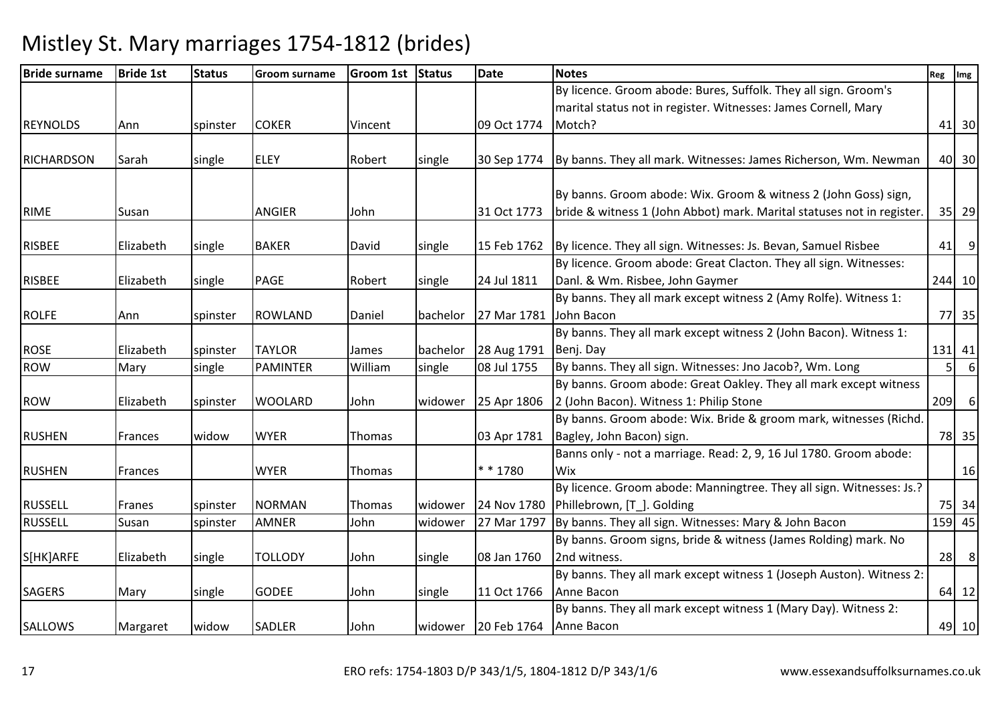| <b>Bride surname</b> | <b>Bride 1st</b> | <b>Status</b> | <b>Groom surname</b> | Groom 1st Status |          | Date                           | <b>Notes</b>                                                           | Reg            | Img              |
|----------------------|------------------|---------------|----------------------|------------------|----------|--------------------------------|------------------------------------------------------------------------|----------------|------------------|
|                      |                  |               |                      |                  |          |                                | By licence. Groom abode: Bures, Suffolk. They all sign. Groom's        |                |                  |
|                      |                  |               |                      |                  |          |                                | marital status not in register. Witnesses: James Cornell, Mary         |                |                  |
| <b>REYNOLDS</b>      | Ann              | spinster      | <b>COKER</b>         | Vincent          |          | 09 Oct 1774                    | Motch?                                                                 |                | 41 30            |
|                      |                  |               |                      |                  |          |                                |                                                                        |                |                  |
| RICHARDSON           | Sarah            | single        | <b>ELEY</b>          | Robert           | single   | 30 Sep 1774                    | By banns. They all mark. Witnesses: James Richerson, Wm. Newman        |                | 40 30            |
|                      |                  |               |                      |                  |          |                                |                                                                        |                |                  |
|                      |                  |               |                      |                  |          |                                | By banns. Groom abode: Wix. Groom & witness 2 (John Goss) sign,        |                |                  |
| <b>RIME</b>          | Susan            |               | ANGIER               | John             |          | 31 Oct 1773                    | bride & witness 1 (John Abbot) mark. Marital statuses not in register. |                | 35 29            |
| <b>RISBEE</b>        | Elizabeth        | single        | <b>BAKER</b>         | David            | single   | 15 Feb 1762                    | By licence. They all sign. Witnesses: Js. Bevan, Samuel Risbee         | 41             | 9                |
|                      |                  |               |                      |                  |          |                                | By licence. Groom abode: Great Clacton. They all sign. Witnesses:      |                |                  |
| <b>RISBEE</b>        | Elizabeth        | single        | PAGE                 | Robert           | single   | 24 Jul 1811                    | Danl. & Wm. Risbee, John Gaymer                                        |                | 244 10           |
|                      |                  |               |                      |                  |          |                                | By banns. They all mark except witness 2 (Amy Rolfe). Witness 1:       |                |                  |
| <b>ROLFE</b>         | Ann              | spinster      | <b>ROWLAND</b>       | Daniel           | bachelor | 27 Mar 1781                    | John Bacon                                                             |                | 77 35            |
|                      |                  |               |                      |                  |          |                                | By banns. They all mark except witness 2 (John Bacon). Witness 1:      |                |                  |
| <b>ROSE</b>          | Elizabeth        | spinster      | <b>TAYLOR</b>        | James            |          | bachelor 28 Aug 1791           | Benj. Day                                                              |                | $131$ 41         |
| <b>ROW</b>           | Mary             | single        | <b>PAMINTER</b>      | William          | single   | 08 Jul 1755                    | By banns. They all sign. Witnesses: Jno Jacob?, Wm. Long               | 5 <sup>1</sup> | $6 \mid$         |
|                      |                  |               |                      |                  |          |                                | By banns. Groom abode: Great Oakley. They all mark except witness      |                |                  |
| <b>ROW</b>           | Elizabeth        | spinster      | <b>WOOLARD</b>       | John             | widower  | 25 Apr 1806                    | 2 (John Bacon). Witness 1: Philip Stone                                | 209            | $6 \overline{6}$ |
|                      |                  |               |                      |                  |          |                                | By banns. Groom abode: Wix. Bride & groom mark, witnesses (Richd.      |                |                  |
| <b>RUSHEN</b>        | Frances          | widow         | <b>WYER</b>          | Thomas           |          | 03 Apr 1781                    | Bagley, John Bacon) sign.                                              |                | 78 35            |
|                      |                  |               |                      |                  |          |                                | Banns only - not a marriage. Read: 2, 9, 16 Jul 1780. Groom abode:     |                |                  |
| <b>RUSHEN</b>        | Frances          |               | <b>WYER</b>          | Thomas           |          | ** 1780                        | Wix                                                                    |                | 16               |
|                      |                  |               |                      |                  |          |                                | By licence. Groom abode: Manningtree. They all sign. Witnesses: Js.?   |                |                  |
| <b>RUSSELL</b>       | Franes           | spinster      | <b>NORMAN</b>        | Thomas           | widower  | 24 Nov 1780                    | Phillebrown, [T ]. Golding                                             |                | 75 34            |
| <b>RUSSELL</b>       | Susan            | spinster      | <b>AMNER</b>         | John             | widower  | 27 Mar 1797                    | By banns. They all sign. Witnesses: Mary & John Bacon                  |                | 159 45           |
|                      |                  |               |                      |                  |          |                                | By banns. Groom signs, bride & witness (James Rolding) mark. No        |                |                  |
| S[HK]ARFE            | Elizabeth        | single        | <b>TOLLODY</b>       | John             | single   | 08 Jan 1760                    | 2nd witness.                                                           | 28             | 8                |
|                      |                  |               |                      |                  |          |                                | By banns. They all mark except witness 1 (Joseph Auston). Witness 2:   |                |                  |
| <b>SAGERS</b>        | Mary             | single        | <b>GODEE</b>         | John             | single   | 11 Oct 1766                    | Anne Bacon                                                             |                | 64 12            |
|                      |                  |               |                      |                  |          |                                | By banns. They all mark except witness 1 (Mary Day). Witness 2:        |                |                  |
| SALLOWS              | Margaret         | widow         | SADLER               | John             |          | widower 20 Feb 1764 Anne Bacon |                                                                        |                | 49 10            |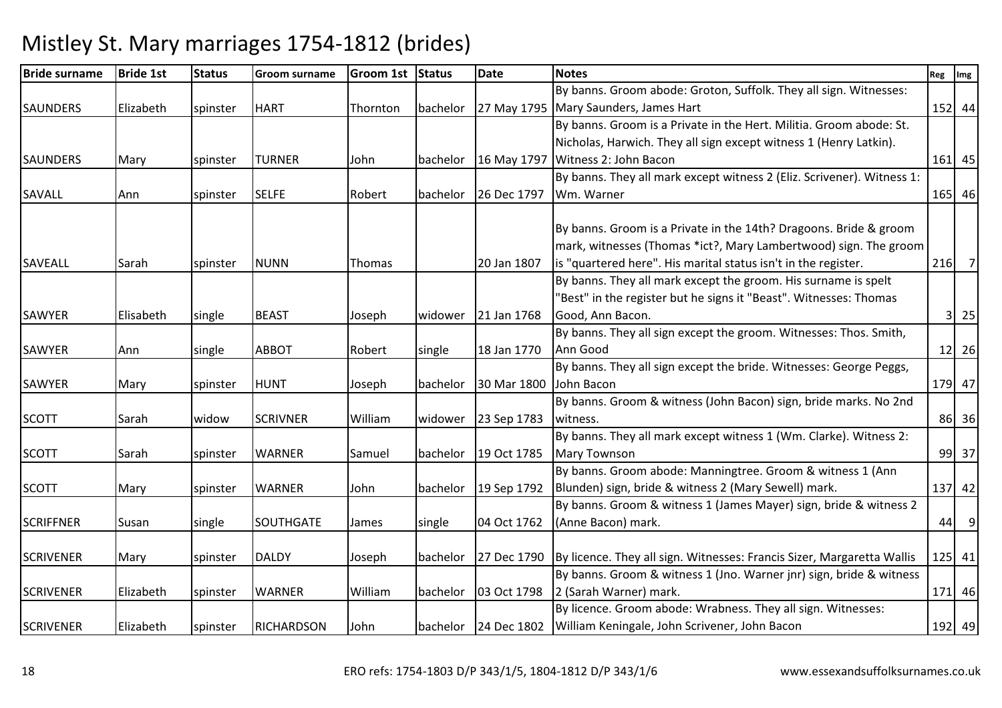| <b>Bride surname</b> | <b>Bride 1st</b> | <b>Status</b> | <b>Groom surname</b> | Groom 1st Status |          | <b>Date</b> | <b>Notes</b>                                                                         | Reg Img |             |
|----------------------|------------------|---------------|----------------------|------------------|----------|-------------|--------------------------------------------------------------------------------------|---------|-------------|
|                      |                  |               |                      |                  |          |             | By banns. Groom abode: Groton, Suffolk. They all sign. Witnesses:                    |         |             |
| <b>SAUNDERS</b>      | Elizabeth        | spinster      | <b>HART</b>          | Thornton         | bachelor |             | 27 May 1795 Mary Saunders, James Hart                                                |         | 152 44      |
|                      |                  |               |                      |                  |          |             | By banns. Groom is a Private in the Hert. Militia. Groom abode: St.                  |         |             |
|                      |                  |               |                      |                  |          |             | Nicholas, Harwich. They all sign except witness 1 (Henry Latkin).                    |         |             |
| <b>SAUNDERS</b>      | Mary             | spinster      | <b>TURNER</b>        | John             | bachelor | 16 May 1797 | Witness 2: John Bacon                                                                |         | $161$ 45    |
|                      |                  |               |                      |                  |          |             | By banns. They all mark except witness 2 (Eliz. Scrivener). Witness 1:               |         |             |
| <b>SAVALL</b>        | Ann              | spinster      | <b>SELFE</b>         | Robert           | bachelor | 26 Dec 1797 | Wm. Warner                                                                           |         | 165 46      |
|                      |                  |               |                      |                  |          |             |                                                                                      |         |             |
|                      |                  |               |                      |                  |          |             | By banns. Groom is a Private in the 14th? Dragoons. Bride & groom                    |         |             |
|                      |                  |               |                      |                  |          |             | mark, witnesses (Thomas *ict?, Mary Lambertwood) sign. The groom                     |         |             |
| <b>SAVEALL</b>       | Sarah            | spinster      | <b>NUNN</b>          | Thomas           |          | 20 Jan 1807 | is "quartered here". His marital status isn't in the register.                       |         | $216$ 7     |
|                      |                  |               |                      |                  |          |             | By banns. They all mark except the groom. His surname is spelt                       |         |             |
|                      |                  |               |                      |                  |          |             | "Best" in the register but he signs it "Beast". Witnesses: Thomas                    |         |             |
| <b>SAWYER</b>        | Elisabeth        | single        | <b>BEAST</b>         | Joseph           | widower  | 21 Jan 1768 | Good, Ann Bacon.                                                                     |         | $3 \mid 25$ |
|                      |                  |               |                      |                  |          |             | By banns. They all sign except the groom. Witnesses: Thos. Smith,                    |         |             |
| SAWYER               | Ann              | single        | <b>ABBOT</b>         | Robert           | single   | 18 Jan 1770 | Ann Good                                                                             |         | $12$ 26     |
|                      |                  |               |                      |                  |          |             | By banns. They all sign except the bride. Witnesses: George Peggs,                   |         |             |
| SAWYER               | Mary             | spinster      | <b>HUNT</b>          | Joseph           | bachelor | 30 Mar 1800 | John Bacon                                                                           |         | 179 47      |
|                      |                  |               |                      |                  |          |             | By banns. Groom & witness (John Bacon) sign, bride marks. No 2nd                     |         |             |
| <b>SCOTT</b>         | Sarah            | widow         | <b>SCRIVNER</b>      | William          | widower  | 23 Sep 1783 | witness.                                                                             |         | 86 36       |
|                      |                  |               |                      |                  |          |             | By banns. They all mark except witness 1 (Wm. Clarke). Witness 2:                    |         |             |
| <b>SCOTT</b>         | Sarah            | spinster      | <b>WARNER</b>        | Samuel           | bachelor | 19 Oct 1785 | <b>Mary Townson</b>                                                                  |         | 99 37       |
|                      |                  |               |                      |                  |          |             | By banns. Groom abode: Manningtree. Groom & witness 1 (Ann                           |         |             |
| <b>SCOTT</b>         | Mary             | spinster      | <b>WARNER</b>        | John             | bachelor | 19 Sep 1792 | Blunden) sign, bride & witness 2 (Mary Sewell) mark.                                 |         | 137 42      |
|                      |                  |               |                      |                  |          |             | By banns. Groom & witness 1 (James Mayer) sign, bride & witness 2                    |         |             |
| <b>SCRIFFNER</b>     | Susan            | single        | SOUTHGATE            | James            | single   | 04 Oct 1762 | (Anne Bacon) mark.                                                                   |         | $44$ 9      |
|                      |                  |               |                      |                  |          |             |                                                                                      |         |             |
| <b>SCRIVENER</b>     | Mary             | spinster      | <b>DALDY</b>         | Joseph           | bachelor |             | 27 Dec 1790   By licence. They all sign. Witnesses: Francis Sizer, Margaretta Wallis |         | 125 41      |
|                      |                  |               |                      |                  |          |             | By banns. Groom & witness 1 (Jno. Warner jnr) sign, bride & witness                  |         |             |
| <b>SCRIVENER</b>     | Elizabeth        | spinster      | <b>WARNER</b>        | William          | bachelor | 03 Oct 1798 | 2 (Sarah Warner) mark.                                                               |         | 171 46      |
|                      |                  |               |                      |                  |          |             | By licence. Groom abode: Wrabness. They all sign. Witnesses:                         |         |             |
| <b>SCRIVENER</b>     | Elizabeth        | spinster      | <b>RICHARDSON</b>    | John             |          |             | bachelor   24 Dec 1802   William Keningale, John Scrivener, John Bacon               |         | 192 49      |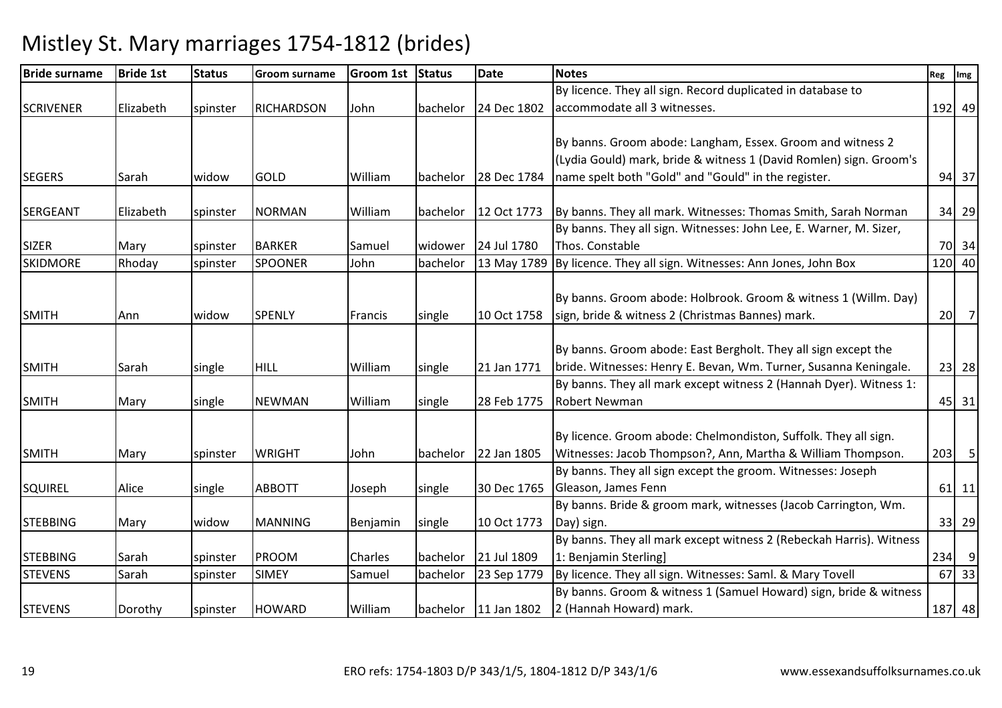| <b>Bride surname</b> | <b>Bride 1st</b> | <b>Status</b> | Groom surname     | Groom 1st Status |          | <b>Date</b>            | <b>Notes</b>                                                                       | Reg | Img     |
|----------------------|------------------|---------------|-------------------|------------------|----------|------------------------|------------------------------------------------------------------------------------|-----|---------|
|                      |                  |               |                   |                  |          |                        | By licence. They all sign. Record duplicated in database to                        |     |         |
| <b>SCRIVENER</b>     | Elizabeth        | spinster      | <b>RICHARDSON</b> | John             | bachelor | 24 Dec 1802            | accommodate all 3 witnesses.                                                       |     | 192 49  |
|                      |                  |               |                   |                  |          |                        |                                                                                    |     |         |
|                      |                  |               |                   |                  |          |                        | By banns. Groom abode: Langham, Essex. Groom and witness 2                         |     |         |
|                      |                  |               |                   |                  |          |                        | (Lydia Gould) mark, bride & witness 1 (David Romlen) sign. Groom's                 |     |         |
| <b>SEGERS</b>        | Sarah            | widow         | <b>GOLD</b>       | William          | bachelor | 28 Dec 1784            | name spelt both "Gold" and "Gould" in the register.                                |     | 94 37   |
| <b>SERGEANT</b>      | Elizabeth        | spinster      | <b>NORMAN</b>     | William          | bachelor | 12 Oct 1773            | By banns. They all mark. Witnesses: Thomas Smith, Sarah Norman                     |     | 34 29   |
|                      |                  |               |                   |                  |          |                        | By banns. They all sign. Witnesses: John Lee, E. Warner, M. Sizer,                 |     |         |
| <b>SIZER</b>         | Mary             | spinster      | <b>BARKER</b>     | Samuel           | widower  | 24 Jul 1780            | Thos. Constable                                                                    |     | 70 34   |
| <b>SKIDMORE</b>      | Rhoday           | spinster      | <b>SPOONER</b>    | John             | bachelor | 13 May 1789            | By licence. They all sign. Witnesses: Ann Jones, John Box                          |     | 120 40  |
|                      |                  |               |                   |                  |          |                        |                                                                                    |     |         |
|                      |                  |               |                   |                  |          |                        | By banns. Groom abode: Holbrook. Groom & witness 1 (Willm. Day)                    |     |         |
| <b>SMITH</b>         | Ann              | widow         | <b>SPENLY</b>     | Francis          | single   | 10 Oct 1758            | sign, bride & witness 2 (Christmas Bannes) mark.                                   |     | $20$ 7  |
|                      |                  |               |                   |                  |          |                        |                                                                                    |     |         |
|                      |                  |               |                   |                  |          |                        | By banns. Groom abode: East Bergholt. They all sign except the                     |     |         |
| <b>SMITH</b>         | Sarah            | single        | <b>HILL</b>       | William          | single   | 21 Jan 1771            | bride. Witnesses: Henry E. Bevan, Wm. Turner, Susanna Keningale.                   |     | 23 28   |
|                      |                  |               |                   |                  |          |                        | By banns. They all mark except witness 2 (Hannah Dyer). Witness 1:                 |     |         |
| <b>SMITH</b>         | Mary             | single        | <b>NEWMAN</b>     | William          | single   | 28 Feb 1775            | <b>Robert Newman</b>                                                               |     | 45 31   |
|                      |                  |               |                   |                  |          |                        |                                                                                    |     |         |
|                      |                  |               |                   |                  |          |                        | By licence. Groom abode: Chelmondiston, Suffolk. They all sign.                    |     |         |
| <b>SMITH</b>         | Mary             | spinster      | <b>WRIGHT</b>     | John             | bachelor | 22 Jan 1805            | Witnesses: Jacob Thompson?, Ann, Martha & William Thompson.                        |     | $203$ 5 |
|                      |                  |               |                   |                  |          |                        | By banns. They all sign except the groom. Witnesses: Joseph<br>Gleason, James Fenn |     |         |
| <b>SQUIREL</b>       | Alice            | single        | <b>ABBOTT</b>     | Joseph           | single   | 30 Dec 1765            | By banns. Bride & groom mark, witnesses (Jacob Carrington, Wm.                     |     | $61$ 11 |
| <b>STEBBING</b>      |                  | widow         | <b>MANNING</b>    |                  | single   | 10 Oct 1773            |                                                                                    |     | 33 29   |
|                      | Mary             |               |                   | Benjamin         |          |                        | Day) sign.<br>By banns. They all mark except witness 2 (Rebeckah Harris). Witness  |     |         |
| <b>STEBBING</b>      | Sarah            |               | <b>PROOM</b>      | Charles          | bachelor | 21 Jul 1809            | 1: Benjamin Sterling]                                                              |     | $234$ 9 |
| <b>STEVENS</b>       | Sarah            | spinster      | <b>SIMEY</b>      | Samuel           | bachelor | 23 Sep 1779            | By licence. They all sign. Witnesses: Saml. & Mary Tovell                          |     | 67 33   |
|                      |                  | spinster      |                   |                  |          |                        | By banns. Groom & witness 1 (Samuel Howard) sign, bride & witness                  |     |         |
| <b>STEVENS</b>       | Dorothy          |               | <b>HOWARD</b>     | William          |          | bachelor $11$ Jan 1802 | 2 (Hannah Howard) mark.                                                            |     | 187 48  |
|                      |                  | spinster      |                   |                  |          |                        |                                                                                    |     |         |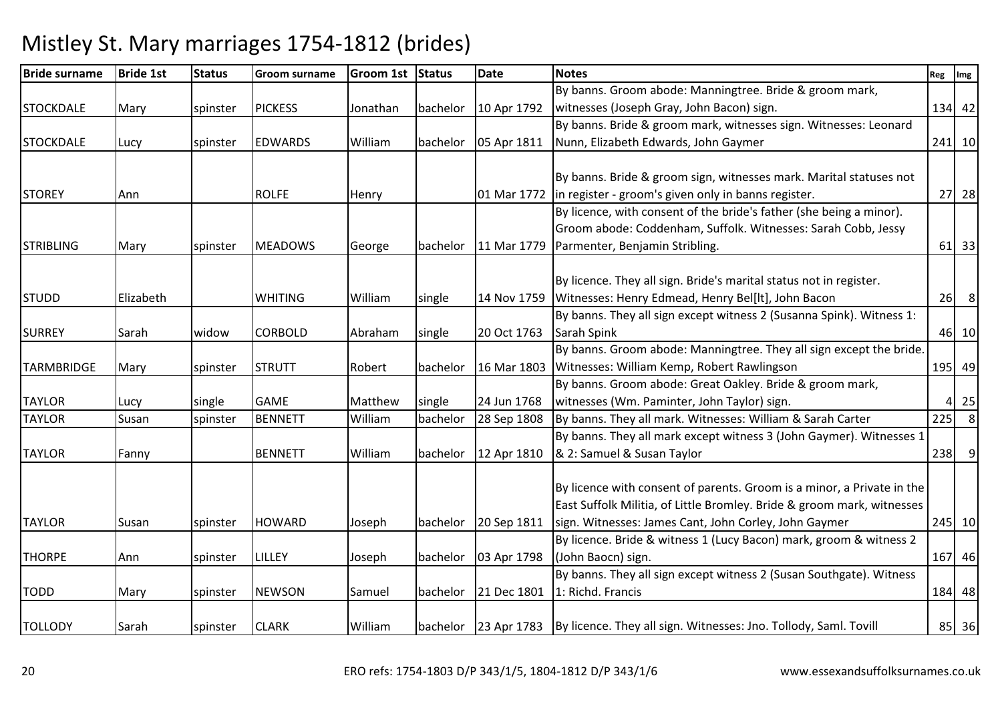| <b>Bride surname</b> | <b>Bride 1st</b> | <b>Status</b> | <b>Groom surname</b> | Groom 1st Status |          | Date        | <b>Notes</b>                                                                              | Reg Img |                            |
|----------------------|------------------|---------------|----------------------|------------------|----------|-------------|-------------------------------------------------------------------------------------------|---------|----------------------------|
|                      |                  |               |                      |                  |          |             | By banns. Groom abode: Manningtree. Bride & groom mark,                                   |         |                            |
| <b>STOCKDALE</b>     | Mary             | spinster      | <b>PICKESS</b>       | Jonathan         | bachelor | 10 Apr 1792 | witnesses (Joseph Gray, John Bacon) sign.                                                 |         | 134 42                     |
|                      |                  |               |                      |                  |          |             | By banns. Bride & groom mark, witnesses sign. Witnesses: Leonard                          |         |                            |
| <b>STOCKDALE</b>     | Lucy             | spinster      | <b>EDWARDS</b>       | William          | bachelor | 05 Apr 1811 | Nunn, Elizabeth Edwards, John Gaymer                                                      |         | 241 10                     |
|                      |                  |               |                      |                  |          |             |                                                                                           |         |                            |
|                      |                  |               |                      |                  |          |             | By banns. Bride & groom sign, witnesses mark. Marital statuses not                        |         |                            |
| <b>STOREY</b>        | Ann              |               | <b>ROLFE</b>         | Henry            |          |             | 01 Mar 1772   in register - groom's given only in banns register.                         |         | 27 28                      |
|                      |                  |               |                      |                  |          |             | By licence, with consent of the bride's father (she being a minor).                       |         |                            |
|                      |                  |               |                      |                  |          |             | Groom abode: Coddenham, Suffolk. Witnesses: Sarah Cobb, Jessy                             |         |                            |
| <b>STRIBLING</b>     | Mary             | spinster      | <b>MEADOWS</b>       | George           | bachelor | 11 Mar 1779 | Parmenter, Benjamin Stribling.                                                            |         | $61$ 33                    |
|                      |                  |               |                      |                  |          |             |                                                                                           |         |                            |
|                      |                  |               |                      |                  |          |             | By licence. They all sign. Bride's marital status not in register.                        |         |                            |
| <b>STUDD</b>         | Elizabeth        |               | <b>WHITING</b>       | William          | single   |             | 14 Nov 1759 Witnesses: Henry Edmead, Henry Bel[lt], John Bacon                            |         | $26$ 8                     |
|                      |                  |               |                      |                  |          |             | By banns. They all sign except witness 2 (Susanna Spink). Witness 1:                      |         |                            |
| <b>SURREY</b>        | Sarah            | widow         | <b>CORBOLD</b>       | Abraham          | single   | 20 Oct 1763 | Sarah Spink                                                                               |         | 46 10                      |
|                      |                  |               |                      |                  |          |             | By banns. Groom abode: Manningtree. They all sign except the bride.                       |         |                            |
| <b>TARMBRIDGE</b>    | Mary             | spinster      | <b>STRUTT</b>        | Robert           | bachelor | 16 Mar 1803 | Witnesses: William Kemp, Robert Rawlingson                                                |         | 195 49                     |
|                      |                  |               |                      |                  |          |             | By banns. Groom abode: Great Oakley. Bride & groom mark,                                  |         |                            |
| <b>TAYLOR</b>        | Lucy             | single        | <b>GAME</b>          | Matthew          | single   | 24 Jun 1768 | witnesses (Wm. Paminter, John Taylor) sign.                                               |         | $4 \overline{\smash{)}25}$ |
| <b>TAYLOR</b>        | Susan            | spinster      | <b>BENNETT</b>       | William          | bachelor | 28 Sep 1808 | By banns. They all mark. Witnesses: William & Sarah Carter                                | 225     | 8 <sup>8</sup>             |
|                      |                  |               |                      |                  |          |             | By banns. They all mark except witness 3 (John Gaymer). Witnesses 1                       |         |                            |
| <b>TAYLOR</b>        | Fanny            |               | <b>BENNETT</b>       | William          | bachelor | 12 Apr 1810 | & 2: Samuel & Susan Taylor                                                                |         | $238$ 9                    |
|                      |                  |               |                      |                  |          |             |                                                                                           |         |                            |
|                      |                  |               |                      |                  |          |             | By licence with consent of parents. Groom is a minor, a Private in the                    |         |                            |
|                      |                  |               |                      |                  |          |             | East Suffolk Militia, of Little Bromley. Bride & groom mark, witnesses                    |         |                            |
| <b>TAYLOR</b>        | Susan            | spinster      | <b>HOWARD</b>        | Joseph           | bachelor | 20 Sep 1811 | sign. Witnesses: James Cant, John Corley, John Gaymer                                     |         | 245 10                     |
|                      |                  |               |                      |                  |          |             | By licence. Bride & witness 1 (Lucy Bacon) mark, groom & witness 2                        |         |                            |
| <b>THORPE</b>        | Ann              | spinster      | <b>LILLEY</b>        | Joseph           | bachelor | 03 Apr 1798 | (John Baocn) sign.                                                                        |         | 167 46                     |
|                      |                  |               |                      |                  |          |             | By banns. They all sign except witness 2 (Susan Southgate). Witness                       |         |                            |
| <b>TODD</b>          | Mary             | spinster      | <b>NEWSON</b>        | Samuel           | bachelor | 21 Dec 1801 | 1: Richd. Francis                                                                         |         | 184 48                     |
|                      |                  |               |                      |                  |          |             |                                                                                           |         |                            |
| <b>TOLLODY</b>       | Sarah            | spinster      | <b>CLARK</b>         | William          |          |             | bachelor   23 Apr 1783   By licence. They all sign. Witnesses: Jno. Tollody, Saml. Tovill |         | 85 36                      |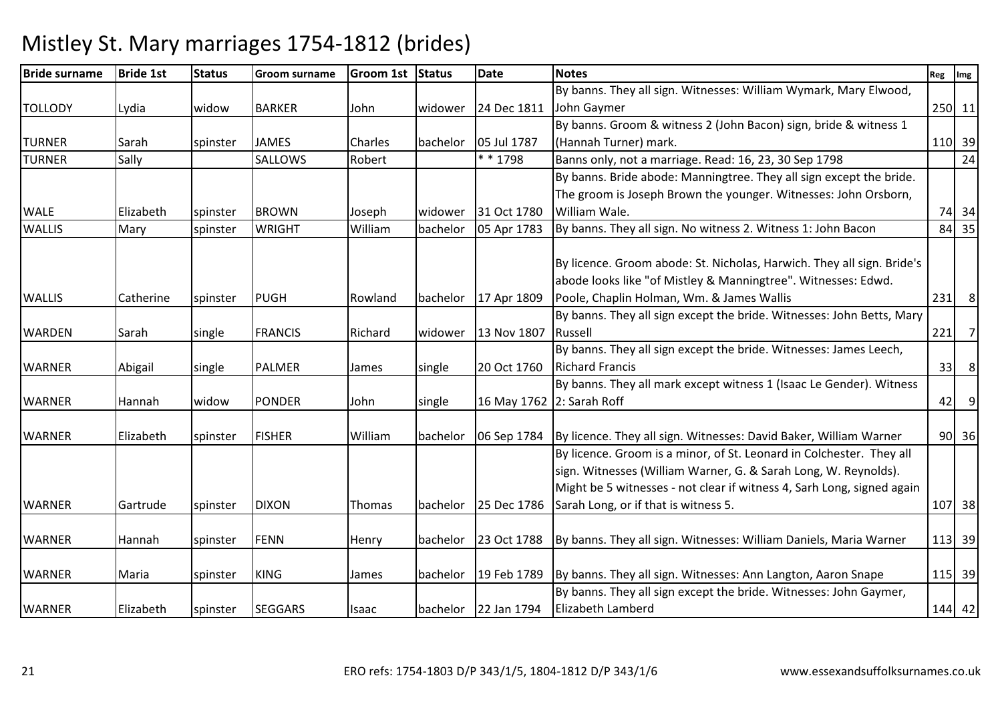#### Bride surnamee Bride 1st Status Groom surname Groom 1st Status Date Notes Reg Ing Reg Img Reg Img TOLLODY Lydia widow BARKER John widower 24 Dec 1811By banns. They all sign. Witnesses: William Wymark, Mary Elwood, John Gaymer <sup>250</sup> <sup>11</sup>TURNER Sarah spinster JAMES Charles bachelor 05 Jul 1787By banns. Groom & witness 2 (John Bacon) sign, bride & witness 1 (Hannah Turner) mark. 110 39 $24$ TURNERSally SALLOWS Robert  $\begin{array}{|c|c|c|c|c|c|}\n\hline\n\text{SALLOWS} & \text{Robert} & \text{M+1798} & \text{Banns only, not a marriage. Read: 16, 23, 30 Sep 1798}\n\hline\n\end{array}$ WALE Elizabeth spinster BROWN Joseph widower 31 Oct 178005 Apr 1783 By banns. Bride abode: Manningtree. They all sign except the bride. The groom is Joseph Brown the younger. Witnesses: John Orsborn, William Wale.. 74 34  $84 \overline{35}$ WALLIS Mary spinster WRIGHT Williambachelor  $\left| 05$  Apr 1783  $\right|$  By banns. They all sign. No witness 2. Witness 1: John Bacon WALLIS Catherine spinster PUGH Rowland bachelor 17 Apr 1809 By licence. Groom abode: St. Nicholas, Harwich. They all sign. Bride's abode looks like "of Mistley & Manningtree". Witnesses: Edwd. Poole, Chaplin Holman, Wm. & James Walliss 231 8 WARDEN Sarah single FRANCIS Richard widower 13 Nov 1807 By banns. They all sign except the bride. Witnesses: John Betts, Mary Russell| 221| 7| WARNER | Abigail | single | PALMER | James | single | 20 Oct 1760 By banns. They all sign except the bride. Witnesses: James Leech, Richard Francis $\sim$  33 8 WARNER |Hannah |widow |PONDER |John |single |16 May 1762 |2: Sarah Roff By banns. They all mark except witness 1 (Isaac Le Gender). Witness <sup>42</sup> <sup>9</sup>WARNER | Elizabeth | spinster | FISHER | William | bachelor | 06 Sep 1784 By licence. They all sign. Witnesses: David Baker, William Warner | 90 36 WARNER | Gartrude | spinster | DIXON | Thomas | bachelor | 25 Dec 1786 By licence. Groom is a minor, of St. Leonard in Colchester. They all sign. Witnesses (William Warner, G. & Sarah Long, W. Reynolds). Might be 5 witnesses - not clear if witness 4, Sarh Long, signed again Sarah Long, or if that is witness 5. 107 38WARNER Hannah spinster FENN Henry bachelor 23 Oct 1788By banns. They all sign. Witnesses: William Daniels, Maria Warner  $|113|39$ WARNER Maria spinster KING James bachelor 19 Feb 1789By banns. They all sign. Witnesses: Ann Langton, Aaron Snape | 115 | 39 WARNER | Elizabeth | spinster | SEGGARS | Isaac | bachelor | 22 Jan 1794 By banns. They all sign except the bride. Witnesses: John Gaymer, Elizabeth Lamberdd 144 42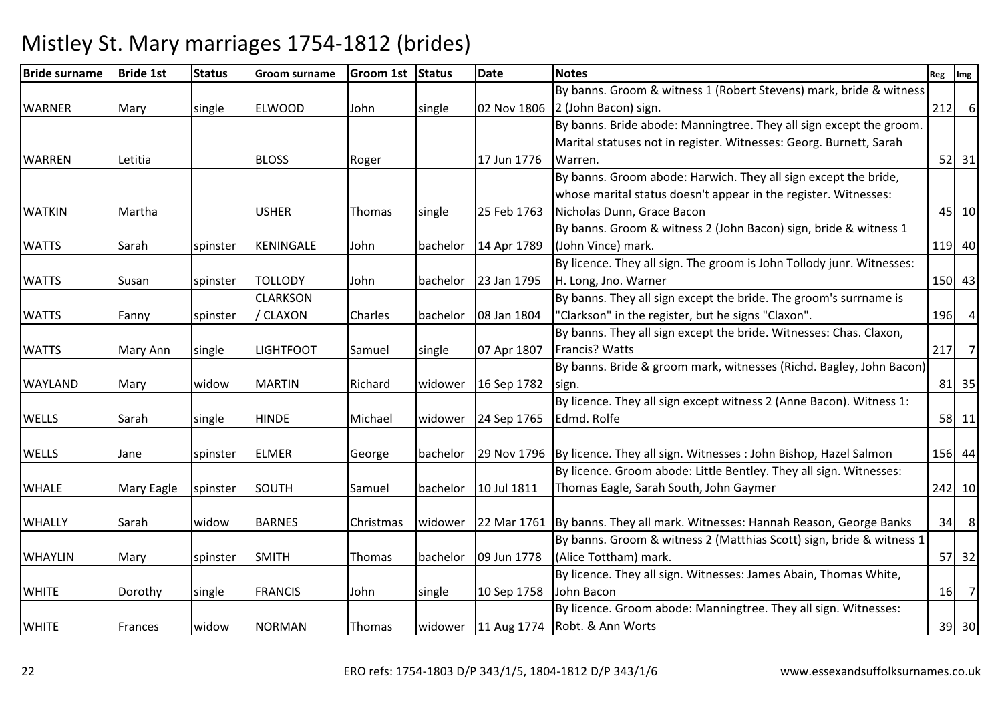#### Bride surnamee Bride 1st Status Groom surname Groom 1st Status Date Notes Reg Ing Reg Img Reg Img WARNER | Mary | single | ELWOOD | John | single | 02 Nov 1806 | 2 (John Bacon) sign. By banns. Groom & witness 1 (Robert Stevens) mark, bride & witness  $\begin{bmatrix} 212 & 6 \end{bmatrix}$ WARREN Letitia BLOSS Roger 17 Jun 1776By banns. Bride abode: Manningtree. They all sign except the groom. Marital statuses not in register. Witnesses: Georg. Burnett, Sarah Warren..  $\begin{bmatrix} 52 & 31 \end{bmatrix}$ WATKIN Martha USHER Thomas single 25 Feb 1763By banns. Groom abode: Harwich. They all sign except the bride, whose marital status doesn't appear in the register. Witnesses: Nicholas Dunn, Grace Baconn 45 10 WATTS Sarah Spinster KENINGALE John bachelor 14 Apr 1789 By banns. Groom & witness 2 (John Bacon) sign, bride & witness 1 (John Vince) mark.119 40 WATTS Susan Spinster TOLLODY John bachelor 23 Jan 1795 By licence. They all sign. The groom is John Tollody junr. Witnesses:H. Long, Jno. Warnerr 150 43 WATTS | Fanny | spinster **CLARKSON** / CLAXON Charles bachelor 08 Jan 1804 By banns. They all sign except the bride. The groom's surrname is "Clarkson" in the register, but he signs "Claxon".196 WATTS Mary Ann Single LIGHTFOOT Samuel Single 07 Apr 1807 By banns. They all sign except the bride. Witnesses: Chas. Claxon, Francis? Wattss 217 | 217 | 218 | 219 | 219 | 219 | 219 | 219 | 219 | 219 | 219 | 219 | 219 | 21 WAYLAND | Mary | widow | MARTIN | Richard | widower | 16 Sep 1782 By banns. Bride & groom mark, witnesses (Richd. Bagley, John Bacon) sign.. [81] 81] 83 WELLS Sarah single HINDE Michael widower 24 Sep 1765By licence. They all sign except witness 2 (Anne Bacon). Witness 1: Edmd. Rolfe <sup>58</sup> <sup>11</sup>WELLS Jane Spinster ELMER George bachelor 29 Nov 1796 By licence. They all sign. Witnesses : John Bishop, Hazel Salmon 156 44 WHALE Mary Eagle spinster SOUTH Samuel bachelor 10 Jul 1811 By licence. Groom abode: Little Bentley. They all sign. Witnesses: Thomas Eagle, Sarah South, John Gaymer <sup>242</sup> <sup>10</sup>WHALLY Sarah Widow BARNES Christmas widower 22 Mar 1761 By banns. They all mark. Witnesses: Hannah Reason, George Banks 34 8 WHAYLIN Mary Spinster SMITH Thomas bachelor 09 Jun 1778 By banns. Groom & witness 2 (Matthias Scott) sign, bride & witness 1 (Alice Tottham) mark.. 57 32 WHITE **Dorothy** single FRANCIS John single 10 Sep 1758 By licence. They all sign. Witnesses: James Abain, Thomas White, John Baconn 16 7 WHITE **Frances** widow NORMAN Thomas widower 11 Aug 1774 By licence. Groom abode: Manningtree. They all sign. Witnesses: Robt. & Ann Wortss 39 30